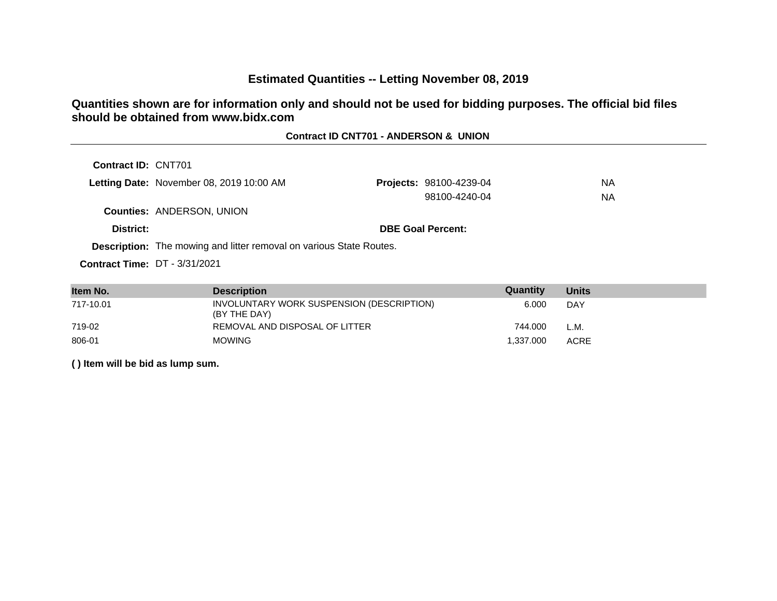# **Estimated Quantities -- Letting November 08, 2019**

## **Quantities shown are for information only and should not be used for bidding purposes. The official bid files should be obtained from www.bidx.com**

#### **Contract ID CNT701 - ANDERSON & UNION**

| Letting Date: November 08, 2019 10:00 AM | <b>Projects: 98100-4239-04</b> | NА |
|------------------------------------------|--------------------------------|----|
|                                          | 98100-4240-04                  | NА |
| <b>Counties: ANDERSON, UNION</b>         |                                |    |
| District:                                | <b>DBE Goal Percent:</b>       |    |

**Description:** The mowing and litter removal on various State Routes.

**Contract Time:** DT - 3/31/2021

| Item No.  | <b>Description</b>                                        | Quantity  | <b>Units</b> |
|-----------|-----------------------------------------------------------|-----------|--------------|
| 717-10.01 | INVOLUNTARY WORK SUSPENSION (DESCRIPTION)<br>(BY THE DAY) | 6.000     | DAY          |
| 719-02    | REMOVAL AND DISPOSAL OF LITTER                            | 744.000   | L.M.         |
| 806-01    | <b>MOWING</b>                                             | 1.337.000 | <b>ACRE</b>  |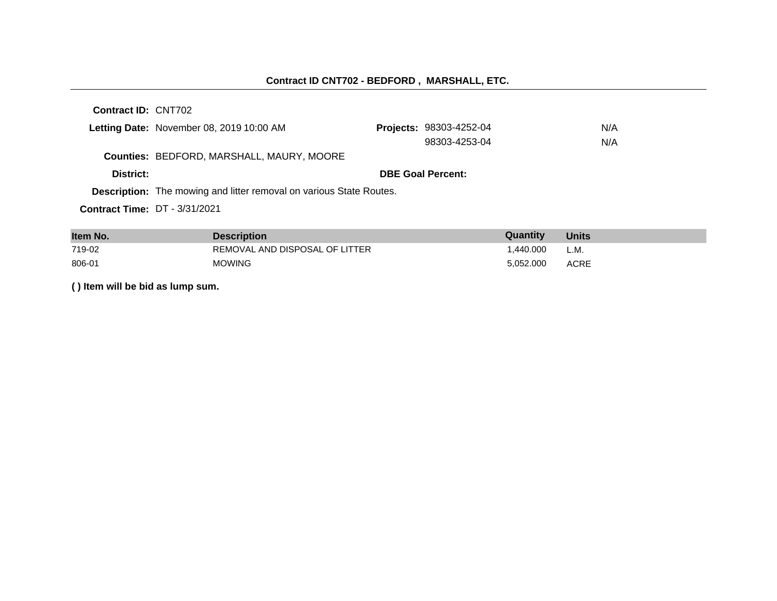# **Contract ID CNT702 - BEDFORD , MARSHALL, ETC.**

**Contract ID:** CNT702

|                                       | Letting Date: November 08, 2019 10:00 AM                                   |  | <b>Projects: 98303-4252-04</b> | N/A |
|---------------------------------------|----------------------------------------------------------------------------|--|--------------------------------|-----|
|                                       |                                                                            |  | 98303-4253-04                  | N/A |
|                                       | Counties: BEDFORD, MARSHALL, MAURY, MOORE                                  |  |                                |     |
| District:                             |                                                                            |  | <b>DBE Goal Percent:</b>       |     |
|                                       | <b>Description:</b> The mowing and litter removal on various State Routes. |  |                                |     |
| <b>Contract Time: DT</b> $-3/31/2021$ |                                                                            |  |                                |     |

| Item No. | <b>Description</b>             | Quantity  | <b>Units</b> |
|----------|--------------------------------|-----------|--------------|
| 719-02   | REMOVAL AND DISPOSAL OF LITTER | .440.000  | L.M.         |
| 806-01   | <b>MOWING</b>                  | 5.052.000 | <b>ACRE</b>  |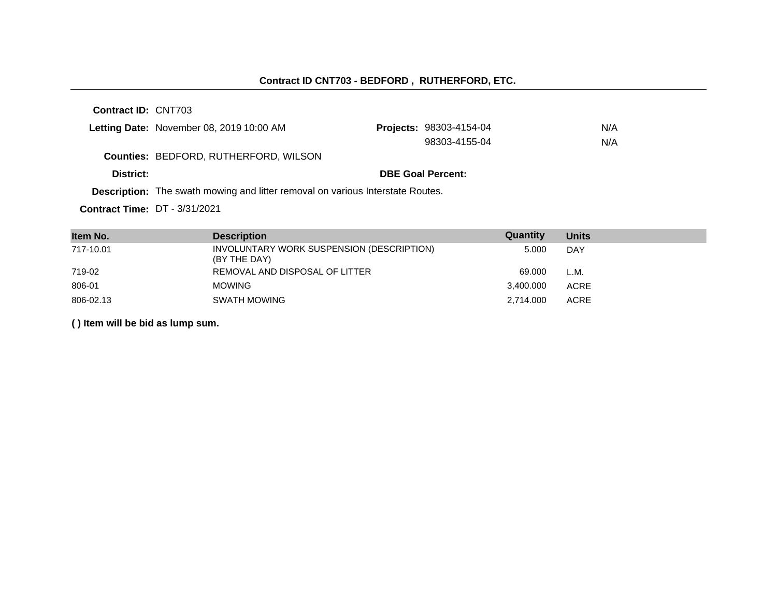#### **Contract ID CNT703 - BEDFORD , RUTHERFORD, ETC.**

**Contract ID:** CNT703

|           | Letting Date: November 08, 2019 10:00 AM                                              | <b>Projects: 98303-4154-04</b> | N/A |
|-----------|---------------------------------------------------------------------------------------|--------------------------------|-----|
|           |                                                                                       | 98303-4155-04                  | N/A |
|           | Counties: BEDFORD, RUTHERFORD, WILSON                                                 |                                |     |
| District: |                                                                                       | <b>DBE Goal Percent:</b>       |     |
|           | <b>Description:</b> The swath mowing and litter removal on various Interstate Routes. |                                |     |

**Contract Time:** DT - 3/31/2021

| Item No.  | <b>Description</b>                                        | Quantity  | <b>Units</b> |
|-----------|-----------------------------------------------------------|-----------|--------------|
| 717-10.01 | INVOLUNTARY WORK SUSPENSION (DESCRIPTION)<br>(BY THE DAY) | 5.000     | <b>DAY</b>   |
| 719-02    | REMOVAL AND DISPOSAL OF LITTER                            | 69.000    | L.M.         |
| 806-01    | <b>MOWING</b>                                             | 3,400.000 | <b>ACRE</b>  |
| 806-02.13 | SWATH MOWING                                              | 2.714.000 | <b>ACRE</b>  |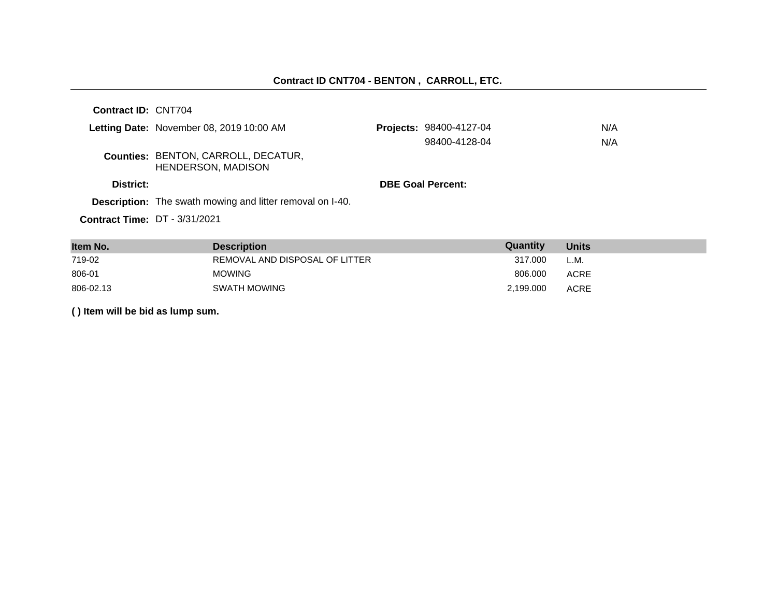| Contract ID: CNT704 |                                                                         |                          |     |
|---------------------|-------------------------------------------------------------------------|--------------------------|-----|
|                     | Letting Date: November 08, 2019 10:00 AM                                | Projects: 98400-4127-04  | N/A |
|                     |                                                                         | 98400-4128-04            | N/A |
|                     | <b>Counties: BENTON, CARROLL, DECATUR,</b><br><b>HENDERSON, MADISON</b> |                          |     |
| District:           |                                                                         | <b>DBE Goal Percent:</b> |     |
|                     | <b>Description:</b> The swath mowing and litter removal on I-40.        |                          |     |
|                     | <b>Contract Time: DT - 3/31/2021</b>                                    |                          |     |

| Item No.  | <b>Description</b>             | Quantity  | <b>Units</b> |
|-----------|--------------------------------|-----------|--------------|
| 719-02    | REMOVAL AND DISPOSAL OF LITTER | 317.000   | L.M.         |
| 806-01    | <b>MOWING</b>                  | 806,000   | ACRE         |
| 806-02.13 | SWATH MOWING                   | 2,199.000 | <b>ACRE</b>  |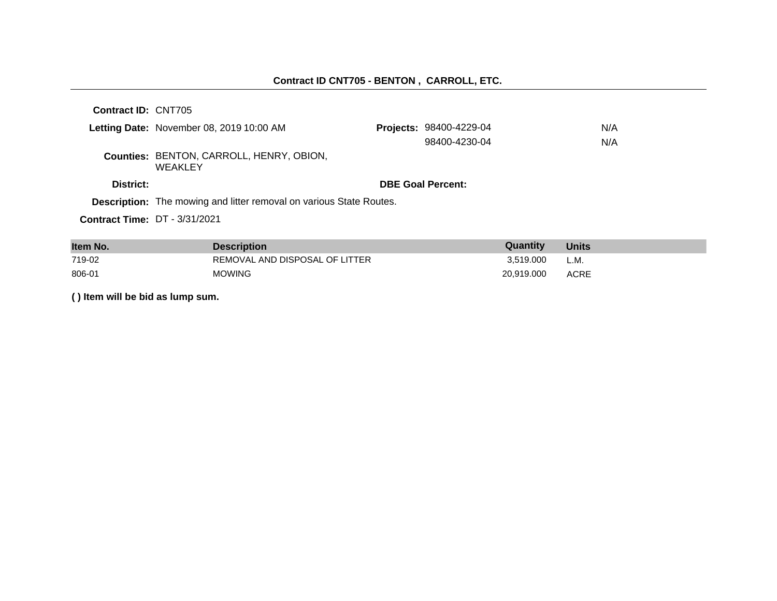| <b>Contract ID: CNT705</b>           |                                                                            |                                |     |
|--------------------------------------|----------------------------------------------------------------------------|--------------------------------|-----|
|                                      | Letting Date: November 08, 2019 10:00 AM                                   | <b>Projects: 98400-4229-04</b> | N/A |
|                                      |                                                                            | 98400-4230-04                  | N/A |
|                                      | Counties: BENTON, CARROLL, HENRY, OBION,<br>WEAKLEY                        |                                |     |
| District:                            |                                                                            | <b>DBE Goal Percent:</b>       |     |
|                                      | <b>Description:</b> The mowing and litter removal on various State Routes. |                                |     |
| <b>Contract Time: DT - 3/31/2021</b> |                                                                            |                                |     |

| Item No. | <b>Description</b>             | <b>Quantity</b> | <b>Units</b> |
|----------|--------------------------------|-----------------|--------------|
| 719-02   | REMOVAL AND DISPOSAL OF LITTER | 3.519.000       | L.M.         |
| 806-01   | <b>MOWING</b>                  | 20.919.000      | <b>ACRE</b>  |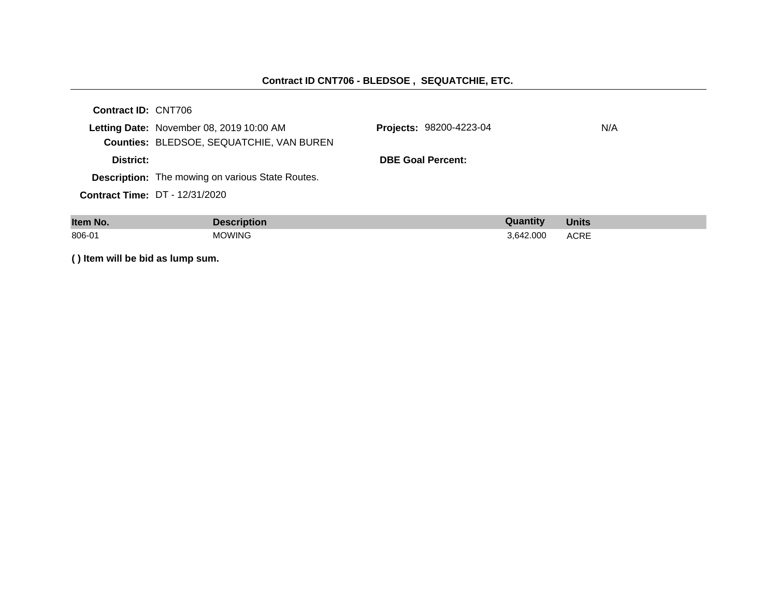#### **Contract ID CNT706 - BLEDSOE , SEQUATCHIE, ETC.**

| Contract ID: CNT706 |                                                         |                                |     |
|---------------------|---------------------------------------------------------|--------------------------------|-----|
|                     | Letting Date: November 08, 2019 10:00 AM                | <b>Projects: 98200-4223-04</b> | N/A |
|                     | Counties: BLEDSOE, SEQUATCHIE, VAN BUREN                |                                |     |
| District:           |                                                         | <b>DBE Goal Percent:</b>       |     |
|                     | <b>Description:</b> The mowing on various State Routes. |                                |     |
|                     | <b>Contract Time: DT - 12/31/2020</b>                   |                                |     |
|                     |                                                         |                                |     |

| Item No. | <b>Description</b> | Quantity  | <b>Units</b>        |
|----------|--------------------|-----------|---------------------|
| 806-01   | <b>MOWING</b>      | 3.642.000 | <b>ACRE</b><br>____ |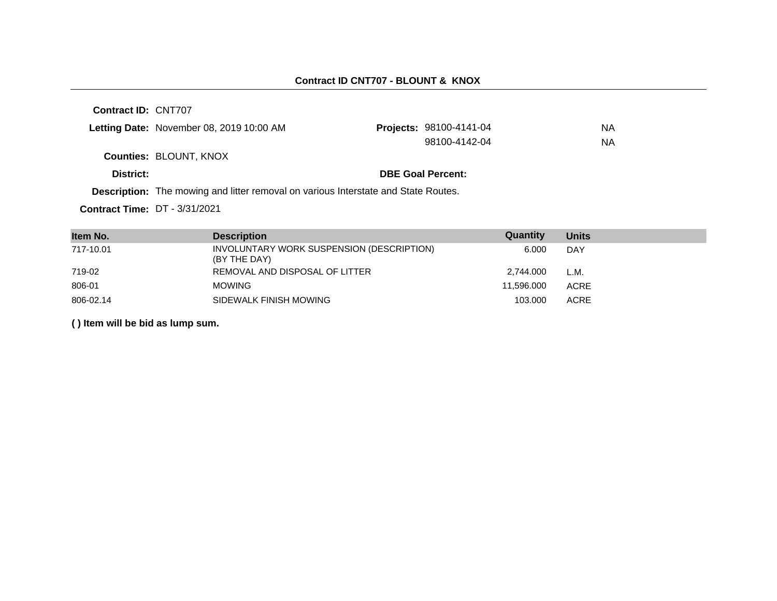| Letting Date: November 08, 2019 10:00 AM | <b>Projects: 98100-4141-04</b> | NA |
|------------------------------------------|--------------------------------|----|
|                                          | 98100-4142-04                  | ΝA |
| <b>Counties: BLOUNT, KNOX</b>            |                                |    |
| District:                                | <b>DBE Goal Percent:</b>       |    |

**Description:** The mowing and litter removal on various Interstate and State Routes.

**Contract Time:** DT - 3/31/2021

| Item No.  | <b>Description</b>                                        | Quantity   | <b>Units</b> |
|-----------|-----------------------------------------------------------|------------|--------------|
| 717-10.01 | INVOLUNTARY WORK SUSPENSION (DESCRIPTION)<br>(BY THE DAY) | 6.000      | DAY          |
| 719-02    | REMOVAL AND DISPOSAL OF LITTER                            | 2,744.000  | L.M.         |
| 806-01    | <b>MOWING</b>                                             | 11.596.000 | <b>ACRE</b>  |
| 806-02.14 | SIDEWALK FINISH MOWING                                    | 103.000    | <b>ACRE</b>  |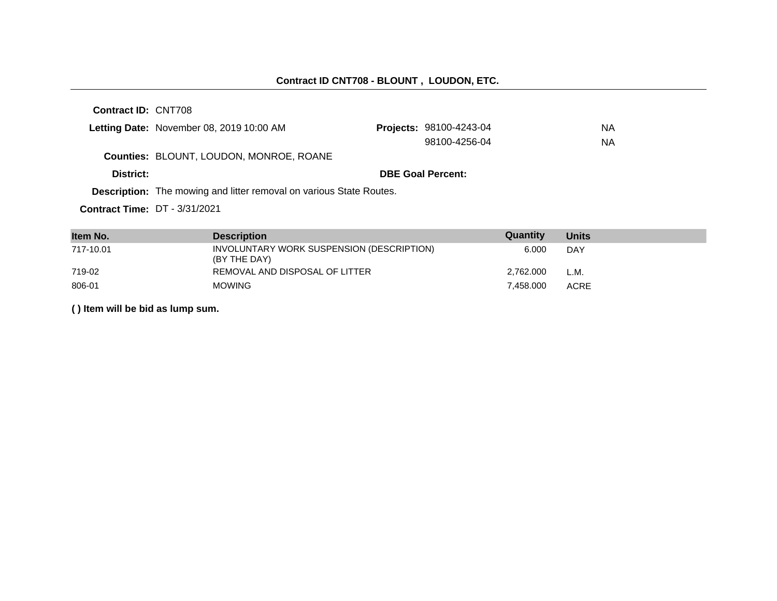|                                                                            | Letting Date: November 08, 2019 10:00 AM       |  | <b>Projects: 98100-4243-04</b> | <b>NA</b> |
|----------------------------------------------------------------------------|------------------------------------------------|--|--------------------------------|-----------|
|                                                                            |                                                |  | 98100-4256-04                  | <b>NA</b> |
|                                                                            | <b>Counties: BLOUNT, LOUDON, MONROE, ROANE</b> |  |                                |           |
| District:                                                                  |                                                |  | <b>DBE Goal Percent:</b>       |           |
| <b>Description:</b> The mowing and litter removal on various State Routes. |                                                |  |                                |           |

**Contract Time:** DT - 3/31/2021

| Item No.  | <b>Description</b>                                        | Quantity  | <b>Units</b> |
|-----------|-----------------------------------------------------------|-----------|--------------|
| 717-10.01 | INVOLUNTARY WORK SUSPENSION (DESCRIPTION)<br>(BY THE DAY) | 6.000     | <b>DAY</b>   |
| 719-02    | REMOVAL AND DISPOSAL OF LITTER                            | 2.762.000 | L.M.         |
| 806-01    | <b>MOWING</b>                                             | 7.458.000 | <b>ACRE</b>  |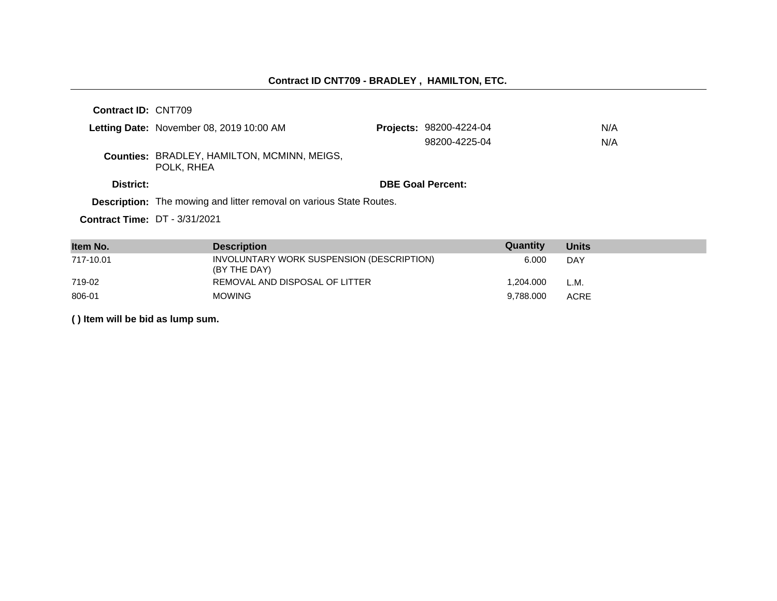#### **Contract ID CNT709 - BRADLEY , HAMILTON, ETC.**

**Contract ID:** CNT709 Letting Date: November 08, 2019 10:00 AM **Counties:** BRADLEY, HAMILTON, MCMINN, MEIGS, POLK, RHEA **District: District: DBE Goal Percent: Contract Time:** DT - 3/31/2021 **Description:** The mowing and litter removal on various State Routes. **Projects: 98200-4224-04 N/A** 98200-4225-04 N/A

| Item No.  | <b>Description</b>                                        | Quantity  | Units       |
|-----------|-----------------------------------------------------------|-----------|-------------|
| 717-10.01 | INVOLUNTARY WORK SUSPENSION (DESCRIPTION)<br>(BY THE DAY) | 6.000     | DAY         |
| 719-02    | REMOVAL AND DISPOSAL OF LITTER                            | 1.204.000 | L.M.        |
| 806-01    | <b>MOWING</b>                                             | 9.788.000 | <b>ACRE</b> |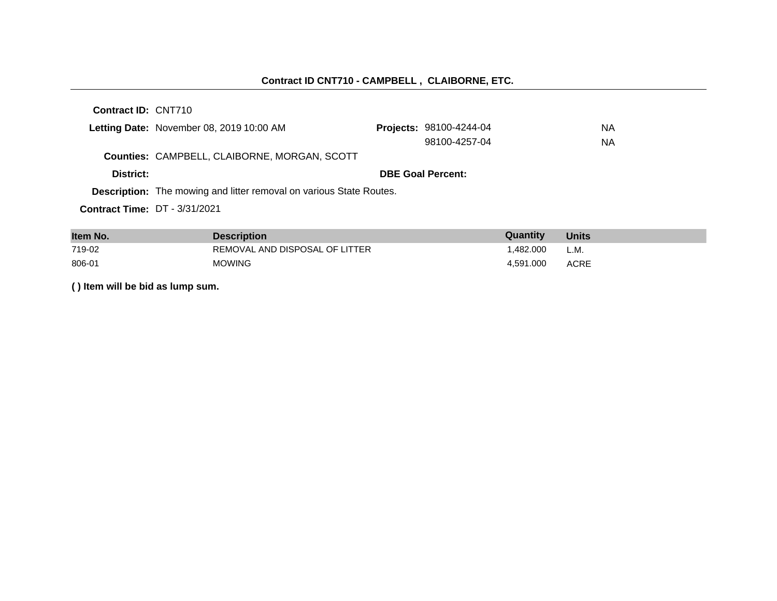#### **Contract ID CNT710 - CAMPBELL , CLAIBORNE, ETC.**

**Contract ID:** CNT710

|                                      | Letting Date: November 08, 2019 10:00 AM                                   | <b>Projects: 98100-4244-04</b> | NA |
|--------------------------------------|----------------------------------------------------------------------------|--------------------------------|----|
|                                      |                                                                            | 98100-4257-04                  | NA |
|                                      | Counties: CAMPBELL, CLAIBORNE, MORGAN, SCOTT                               |                                |    |
| District:                            |                                                                            | <b>DBE Goal Percent:</b>       |    |
|                                      | <b>Description:</b> The mowing and litter removal on various State Routes. |                                |    |
| <b>Contract Time: DT - 3/31/2021</b> |                                                                            |                                |    |

| Item No. | <b>Description</b>             | Quantity  | <b>Units</b> |
|----------|--------------------------------|-----------|--------------|
| 719-02   | REMOVAL AND DISPOSAL OF LITTER | .482.000  | L.M.         |
| 806-01   | <b>MOWING</b>                  | 4.591.000 | <b>ACRE</b>  |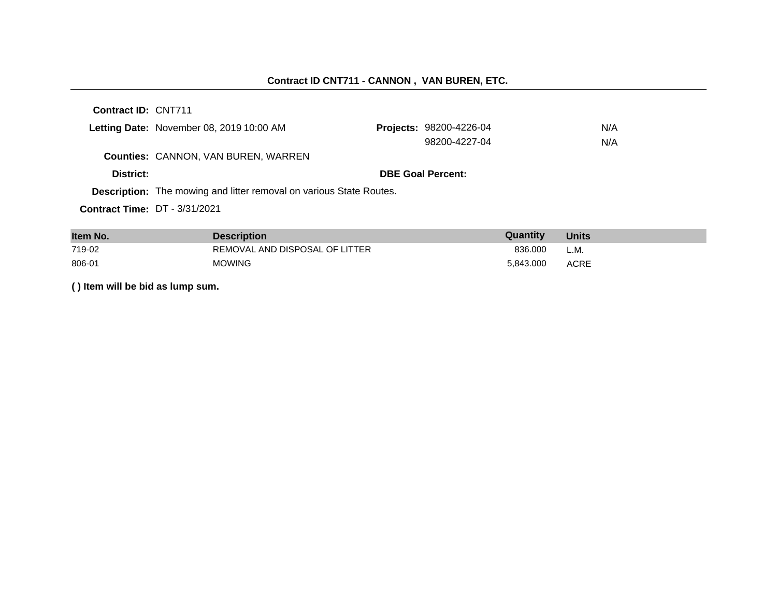# **Contract ID CNT711 - CANNON , VAN BUREN, ETC.**

**Contract ID:** CNT711

|                                      | Letting Date: November 08, 2019 10:00 AM                                   | <b>Projects: 98200-4226-04</b> | N/A |
|--------------------------------------|----------------------------------------------------------------------------|--------------------------------|-----|
|                                      |                                                                            | 98200-4227-04                  | N/A |
|                                      | <b>Counties: CANNON, VAN BUREN, WARREN</b>                                 |                                |     |
| District:                            |                                                                            | <b>DBE Goal Percent:</b>       |     |
|                                      | <b>Description:</b> The mowing and litter removal on various State Routes. |                                |     |
| <b>Contract Time: DT - 3/31/2021</b> |                                                                            |                                |     |

| Item No. | <b>Description</b>             | Quantity  | <b>Units</b> |
|----------|--------------------------------|-----------|--------------|
| 719-02   | REMOVAL AND DISPOSAL OF LITTER | 836.000   | L.M.         |
| 806-01   | <b>MOWING</b>                  | 5.843.000 | <b>ACRE</b>  |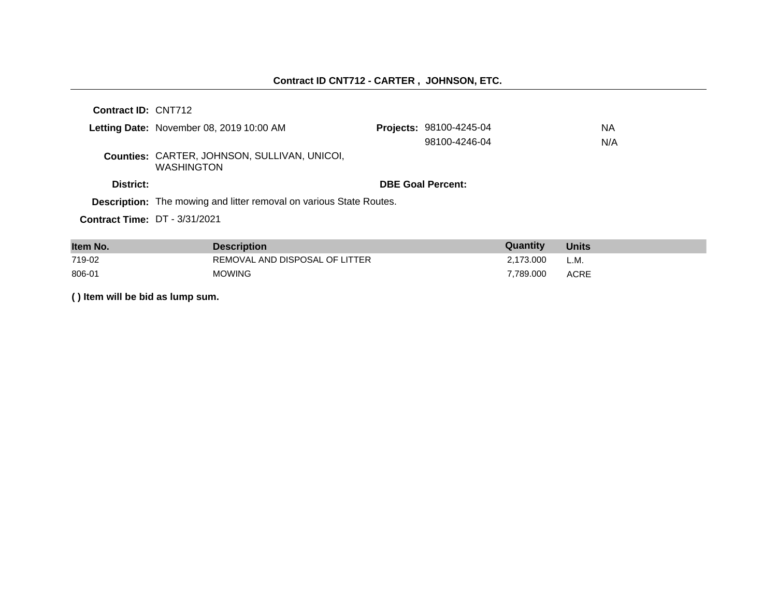| Contract ID: CNT712                  |                                                                            |                                |     |
|--------------------------------------|----------------------------------------------------------------------------|--------------------------------|-----|
|                                      | Letting Date: November 08, 2019 10:00 AM                                   | <b>Projects: 98100-4245-04</b> | NA  |
|                                      |                                                                            | 98100-4246-04                  | N/A |
|                                      | Counties: CARTER, JOHNSON, SULLIVAN, UNICOI,<br><b>WASHINGTON</b>          |                                |     |
| District:                            |                                                                            | <b>DBE Goal Percent:</b>       |     |
|                                      | <b>Description:</b> The mowing and litter removal on various State Routes. |                                |     |
| <b>Contract Time: DT - 3/31/2021</b> |                                                                            |                                |     |

| Item No. | <b>Description</b>             | <b>Quantity</b> | <b>Units</b> |
|----------|--------------------------------|-----------------|--------------|
| 719-02   | REMOVAL AND DISPOSAL OF LITTER | 2.173.000       | L.M.         |
| 806-01   | <b>MOWING</b>                  | 7.789.000       | <b>ACRE</b>  |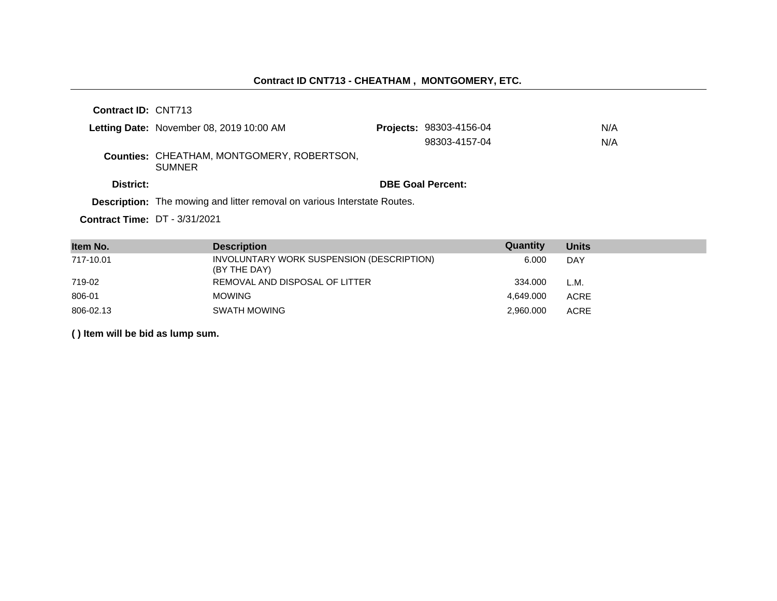# **Contract ID CNT713 - CHEATHAM , MONTGOMERY, ETC.**

**Contract ID:** CNT713

|                                      | Letting Date: November 08, 2019 10:00 AM                                 | <b>Projects: 98303-4156-04</b> | N/A |
|--------------------------------------|--------------------------------------------------------------------------|--------------------------------|-----|
|                                      |                                                                          | 98303-4157-04                  | N/A |
|                                      | <b>Counties: CHEATHAM, MONTGOMERY, ROBERTSON,</b><br><b>SUMNER</b>       |                                |     |
| District:                            |                                                                          | <b>DBE Goal Percent:</b>       |     |
|                                      | Description: The mowing and litter removal on various Interstate Routes. |                                |     |
| <b>Contract Time: DT - 3/31/2021</b> |                                                                          |                                |     |

| Item No.  | <b>Description</b>                                        | Quantity  | <b>Units</b> |
|-----------|-----------------------------------------------------------|-----------|--------------|
| 717-10.01 | INVOLUNTARY WORK SUSPENSION (DESCRIPTION)<br>(BY THE DAY) | 6.000     | DAY          |
| 719-02    | REMOVAL AND DISPOSAL OF LITTER                            | 334.000   | L.M.         |
| 806-01    | <b>MOWING</b>                                             | 4.649.000 | <b>ACRE</b>  |
| 806-02.13 | SWATH MOWING                                              | 2,960.000 | <b>ACRE</b>  |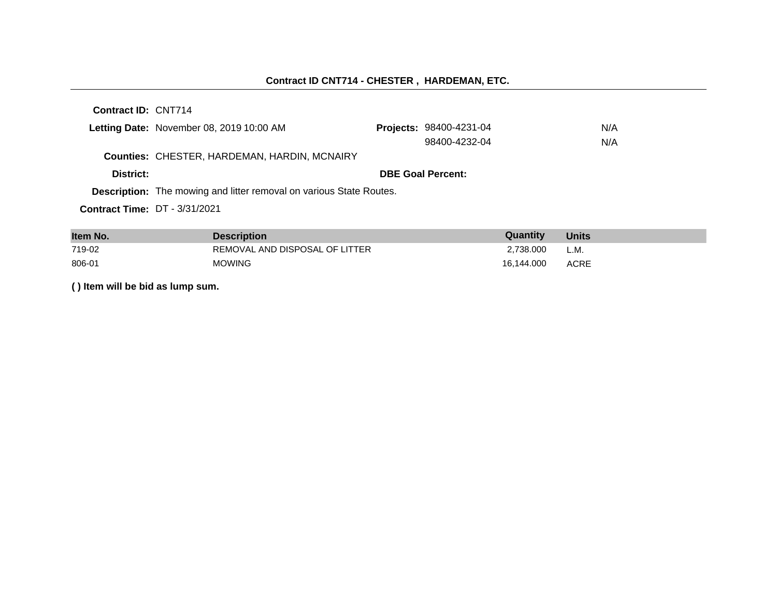# **Contract ID CNT714 - CHESTER , HARDEMAN, ETC.**

**Contract ID:** CNT714

|                                      | Letting Date: November 08, 2019 10:00 AM                                   | <b>Projects: 98400-4231-04</b> | N/A |
|--------------------------------------|----------------------------------------------------------------------------|--------------------------------|-----|
|                                      |                                                                            | 98400-4232-04                  | N/A |
|                                      | <b>Counties: CHESTER, HARDEMAN, HARDIN, MCNAIRY</b>                        |                                |     |
| District:                            |                                                                            | <b>DBE Goal Percent:</b>       |     |
|                                      | <b>Description:</b> The mowing and litter removal on various State Routes. |                                |     |
| <b>Contract Time: DT - 3/31/2021</b> |                                                                            |                                |     |

| Item No. | <b>Description</b>             | Quantity   | <b>Units</b> |
|----------|--------------------------------|------------|--------------|
| 719-02   | REMOVAL AND DISPOSAL OF LITTER | 2.738.000  | L.M.         |
| 806-01   | <b>MOWING</b>                  | 16.144.000 | ACRE         |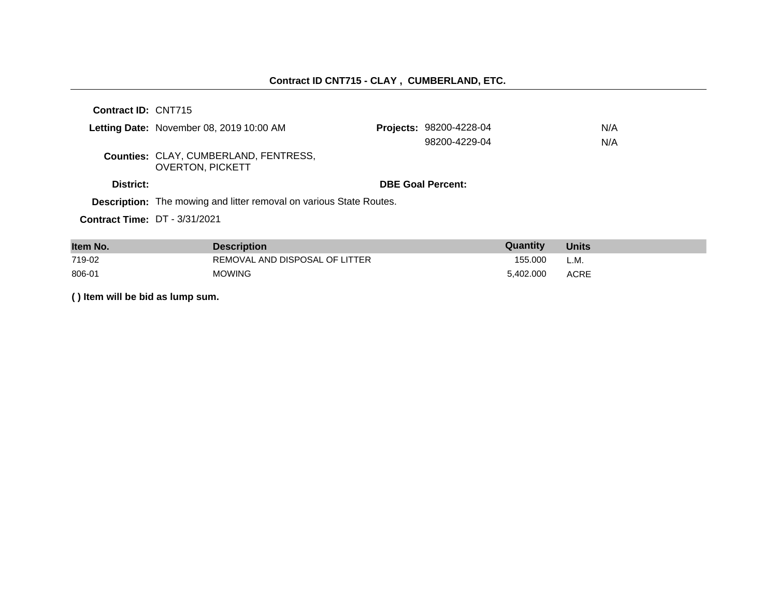| <b>Contract ID: CNT715</b>           |                                                                            |                                |     |
|--------------------------------------|----------------------------------------------------------------------------|--------------------------------|-----|
|                                      | Letting Date: November 08, 2019 10:00 AM                                   | <b>Projects: 98200-4228-04</b> | N/A |
|                                      |                                                                            | 98200-4229-04                  | N/A |
|                                      | Counties: CLAY, CUMBERLAND, FENTRESS,<br><b>OVERTON, PICKETT</b>           |                                |     |
| District:                            |                                                                            | <b>DBE Goal Percent:</b>       |     |
|                                      | <b>Description:</b> The mowing and litter removal on various State Routes. |                                |     |
| <b>Contract Time: DT - 3/31/2021</b> |                                                                            |                                |     |

| Item No. | <b>Description</b>             | Quantity  | <b>Units</b> |
|----------|--------------------------------|-----------|--------------|
| 719-02   | REMOVAL AND DISPOSAL OF LITTER | 155.000   | L.M.         |
| 806-01   | <b>MOWING</b>                  | 5.402.000 | <b>ACRE</b>  |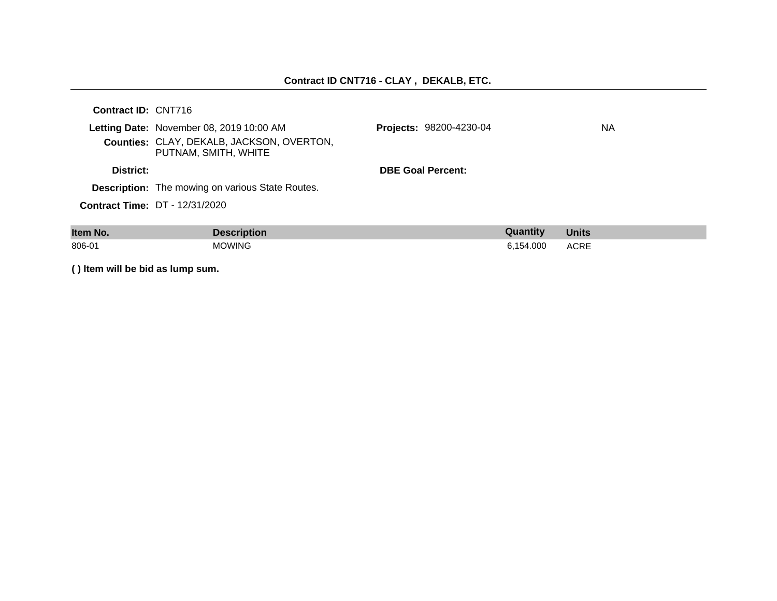# **Contract ID CNT716 - CLAY , DEKALB, ETC.**

| <b>Contract ID: CNT716</b> |                                                                                                               |                                |    |
|----------------------------|---------------------------------------------------------------------------------------------------------------|--------------------------------|----|
|                            | Letting Date: November 08, 2019 10:00 AM<br>Counties: CLAY, DEKALB, JACKSON, OVERTON,<br>PUTNAM, SMITH, WHITE | <b>Projects: 98200-4230-04</b> | NA |
| District:                  |                                                                                                               | <b>DBE Goal Percent:</b>       |    |
|                            | <b>Description:</b> The mowing on various State Routes.                                                       |                                |    |
|                            | <b>Contract Time: DT - 12/31/2020</b>                                                                         |                                |    |
|                            |                                                                                                               |                                |    |

| Item No. | cription      | antır  | <b>Units</b> |
|----------|---------------|--------|--------------|
| 806-01   | <b>JOWING</b> | 54.000 | <b>ACRE</b>  |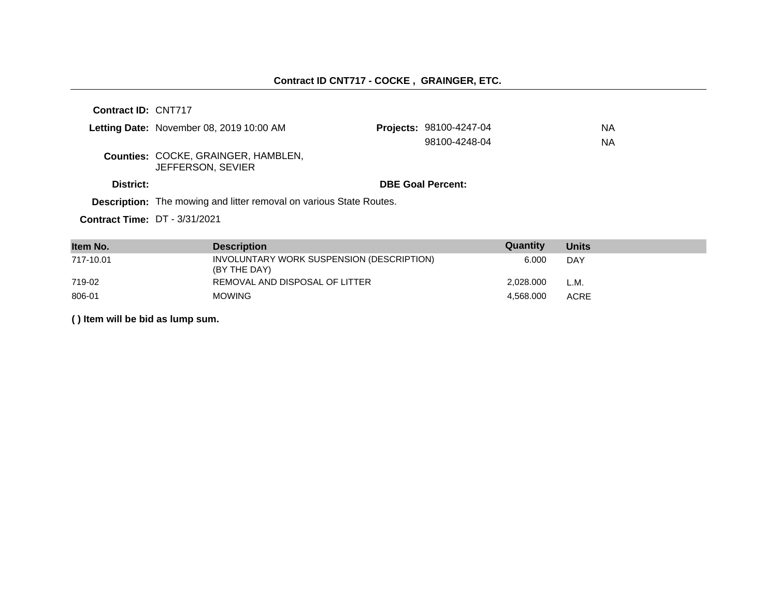|                                      | Letting Date: November 08, 2019 10:00 AM                                   | Projects: 98100-4247-04  | NA |
|--------------------------------------|----------------------------------------------------------------------------|--------------------------|----|
|                                      |                                                                            | 98100-4248-04            | NA |
|                                      | <b>Counties: COCKE, GRAINGER, HAMBLEN,</b><br>JEFFERSON, SEVIER            |                          |    |
| District:                            |                                                                            | <b>DBE Goal Percent:</b> |    |
|                                      | <b>Description:</b> The mowing and litter removal on various State Routes. |                          |    |
| <b>Contract Time: DT - 3/31/2021</b> |                                                                            |                          |    |

**Item No. Description Description CONS** 717-10.01 INVOLUNTARY WORK SUSPENSION (DESCRIPTION) (BY THE DAY) 6.000 DAY 719-02 REMOVAL AND DISPOSAL OF LITTER 2,028.000 L.M. 806-01 MOWING 4,568.000 ACRE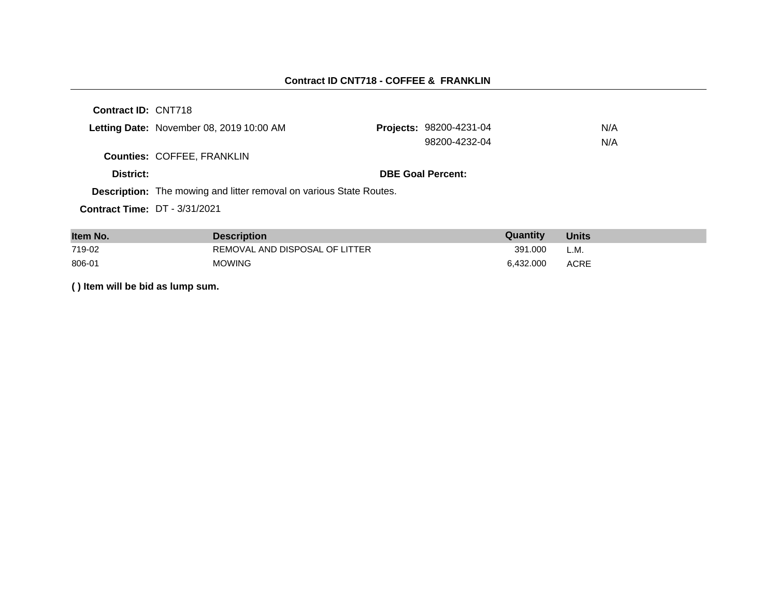#### **Contract ID CNT718 - COFFEE & FRANKLIN**

**Contract ID:** CNT718 Letting Date: November 08, 2019 10:00 AM **Counties:** COFFEE, FRANKLIN **District: District: DBE Goal Percent: Contract Time:** DT - 3/31/2021 **Description:** The mowing and litter removal on various State Routes. Projects: 98200-4231-04 N/A 98200-4232-04 N/A

| Item No. | <b>Description</b>             | Quantity  | <b>Units</b> |
|----------|--------------------------------|-----------|--------------|
| 719-02   | REMOVAL AND DISPOSAL OF LITTER | 391.000   | L.M.         |
| 806-01   | <b>MOWING</b>                  | 6.432.000 | <b>ACRE</b>  |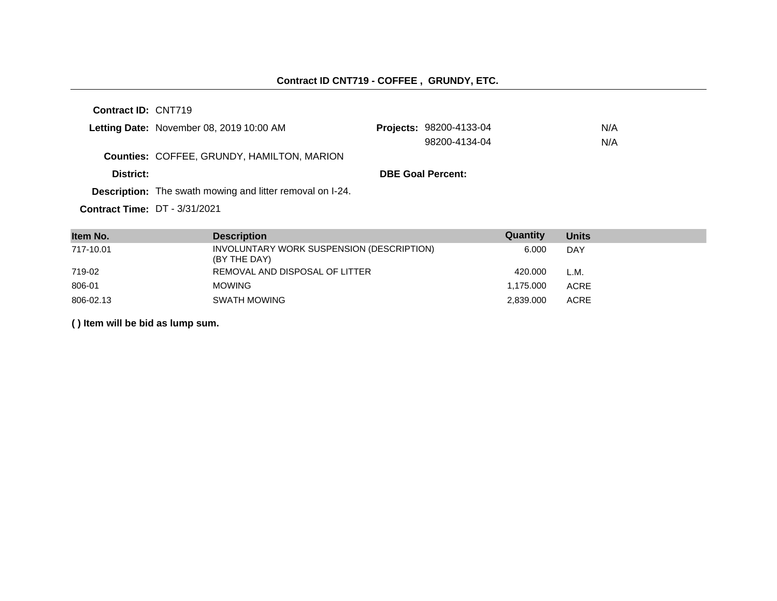|           | Letting Date: November 08, 2019 10:00 AM                         | <b>Projects: 98200-4133-04</b> | N/A |
|-----------|------------------------------------------------------------------|--------------------------------|-----|
|           |                                                                  | 98200-4134-04                  | N/A |
|           | <b>Counties: COFFEE, GRUNDY, HAMILTON, MARION</b>                |                                |     |
| District: |                                                                  | <b>DBE Goal Percent:</b>       |     |
|           | <b>Description:</b> The swath mowing and litter removal on I-24. |                                |     |
|           |                                                                  |                                |     |

**Contract Time:** DT - 3/31/2021

| Item No.  | <b>Description</b>                                        | Quantity  | <b>Units</b> |
|-----------|-----------------------------------------------------------|-----------|--------------|
| 717-10.01 | INVOLUNTARY WORK SUSPENSION (DESCRIPTION)<br>(BY THE DAY) | 6.000     | <b>DAY</b>   |
| 719-02    | REMOVAL AND DISPOSAL OF LITTER                            | 420.000   | L.M.         |
| 806-01    | <b>MOWING</b>                                             | 1,175.000 | <b>ACRE</b>  |
| 806-02.13 | SWATH MOWING                                              | 2,839.000 | <b>ACRE</b>  |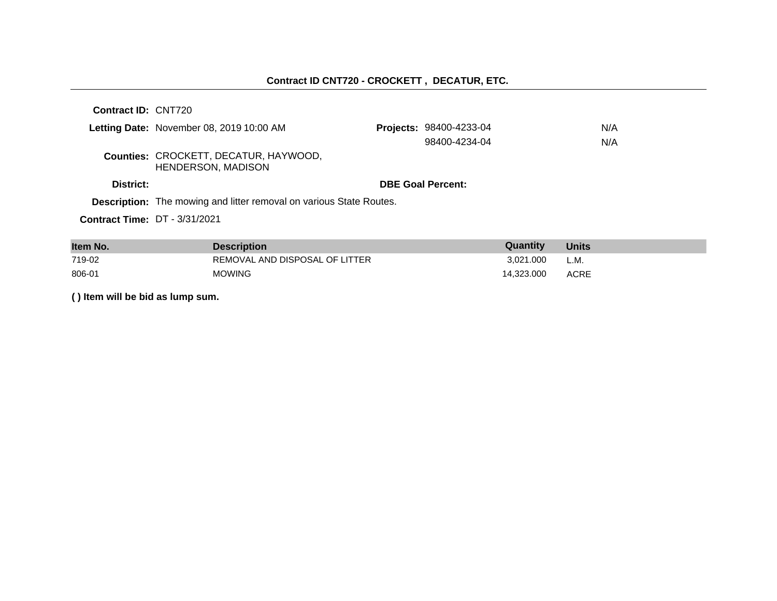# **Contract ID CNT720 - CROCKETT , DECATUR, ETC.**

| <b>Contract ID: CNT720</b>                                         |                                                                            |                                                            |            |
|--------------------------------------------------------------------|----------------------------------------------------------------------------|------------------------------------------------------------|------------|
| Letting Date: November 08, 2019 10:00 AM                           |                                                                            |                                                            |            |
|                                                                    | 98400-4234-04                                                              |                                                            |            |
| Counties: CROCKETT, DECATUR, HAYWOOD,<br><b>HENDERSON, MADISON</b> |                                                                            |                                                            |            |
|                                                                    |                                                                            |                                                            |            |
|                                                                    |                                                                            |                                                            |            |
| <b>Contract Time: DT - 3/31/2021</b>                               |                                                                            |                                                            |            |
|                                                                    | <b>Description:</b> The mowing and litter removal on various State Routes. | <b>Projects: 98400-4233-04</b><br><b>DBE Goal Percent:</b> | N/A<br>N/A |

| Item No. | <b>Description</b>             | Quantity   | <b>Units</b> |
|----------|--------------------------------|------------|--------------|
| 719-02   | REMOVAL AND DISPOSAL OF LITTER | 3.021.000  | L.M.         |
| 806-01   | <b>MOWING</b>                  | 14.323.000 | ACRE         |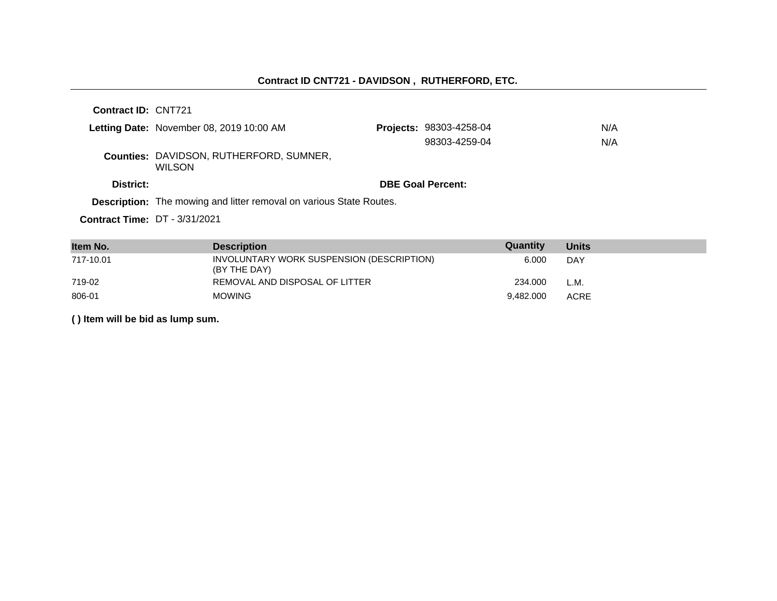|                                      | Letting Date: November 08, 2019 10:00 AM                                   | <b>Projects: 98303-4258-04</b> | N/A |
|--------------------------------------|----------------------------------------------------------------------------|--------------------------------|-----|
|                                      |                                                                            | 98303-4259-04                  | N/A |
|                                      | <b>Counties: DAVIDSON, RUTHERFORD, SUMNER,</b><br><b>WILSON</b>            |                                |     |
| District:                            |                                                                            | <b>DBE Goal Percent:</b>       |     |
|                                      | <b>Description:</b> The mowing and litter removal on various State Routes. |                                |     |
| <b>Contract Time: DT - 3/31/2021</b> |                                                                            |                                |     |

| Item No.  | <b>Description</b>                                        | Quantity  | <b>Units</b> |
|-----------|-----------------------------------------------------------|-----------|--------------|
| 717-10.01 | INVOLUNTARY WORK SUSPENSION (DESCRIPTION)<br>(BY THE DAY) | 6.000     | DAY          |
| 719-02    | REMOVAL AND DISPOSAL OF LITTER                            | 234.000   | L.M.         |
| 806-01    | <b>MOWING</b>                                             | 9.482.000 | <b>ACRE</b>  |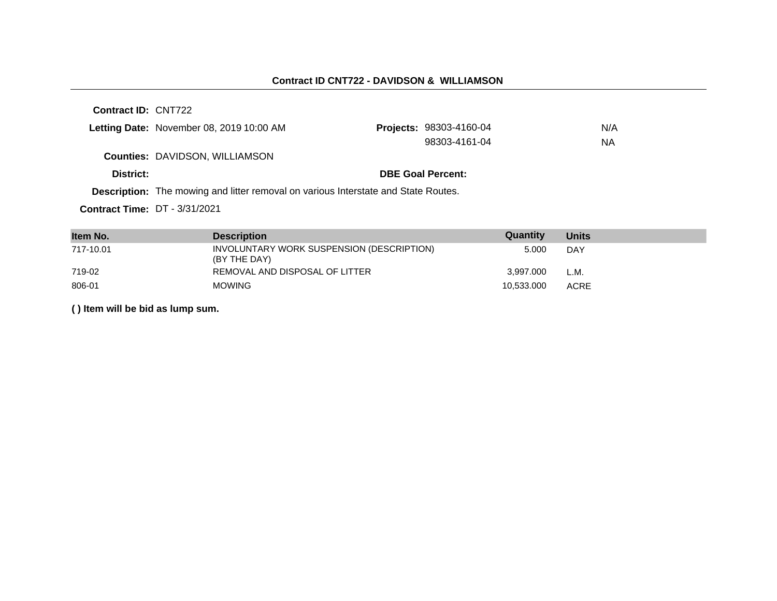|                                      | Letting Date: November 08, 2019 10:00 AM                                                  | <b>Projects: 98303-4160-04</b> | N/A |
|--------------------------------------|-------------------------------------------------------------------------------------------|--------------------------------|-----|
|                                      |                                                                                           | 98303-4161-04                  | ΝA  |
|                                      | <b>Counties: DAVIDSON, WILLIAMSON</b>                                                     |                                |     |
| District:                            |                                                                                           | <b>DBE Goal Percent:</b>       |     |
|                                      | <b>Description:</b> The mowing and litter removal on various Interstate and State Routes. |                                |     |
| <b>Contract Time: DT - 3/31/2021</b> |                                                                                           |                                |     |

| Item No.  | <b>Description</b>                                        | Quantity   | <b>Units</b> |
|-----------|-----------------------------------------------------------|------------|--------------|
| 717-10.01 | INVOLUNTARY WORK SUSPENSION (DESCRIPTION)<br>(BY THE DAY) | 5.000      | DAY          |
| 719-02    | REMOVAL AND DISPOSAL OF LITTER                            | 3.997.000  | L.M.         |
| 806-01    | <b>MOWING</b>                                             | 10,533.000 | <b>ACRE</b>  |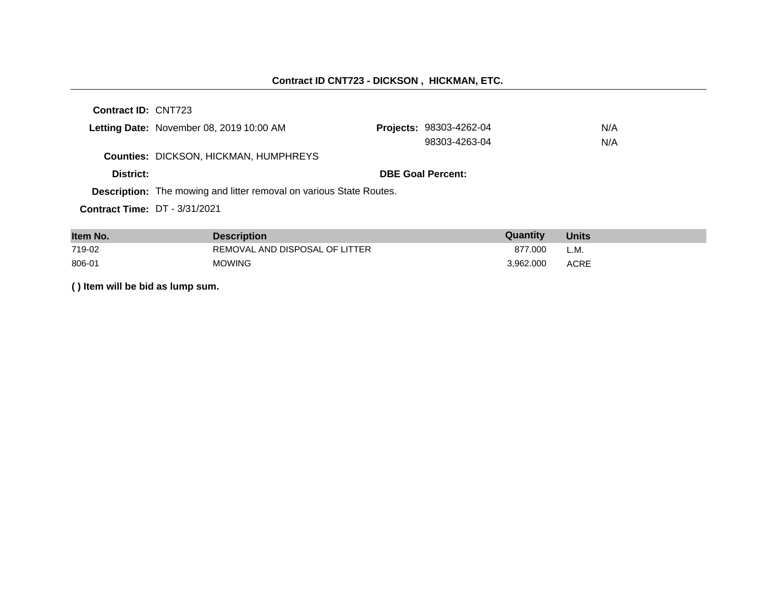|                                      | Letting Date: November 08, 2019 10:00 AM                                   | <b>Projects: 98303-4262-04</b> | N/A |
|--------------------------------------|----------------------------------------------------------------------------|--------------------------------|-----|
|                                      |                                                                            | 98303-4263-04                  | N/A |
|                                      | <b>Counties: DICKSON, HICKMAN, HUMPHREYS</b>                               |                                |     |
| District:                            |                                                                            | <b>DBE Goal Percent:</b>       |     |
|                                      | <b>Description:</b> The mowing and litter removal on various State Routes. |                                |     |
| <b>Contract Time: DT - 3/31/2021</b> |                                                                            |                                |     |

| Item No. | <b>Description</b>             | Quantity  | <b>Units</b> |
|----------|--------------------------------|-----------|--------------|
| 719-02   | REMOVAL AND DISPOSAL OF LITTER | 877.000   | L.M.         |
| 806-01   | <b>MOWING</b>                  | 3.962.000 | <b>ACRE</b>  |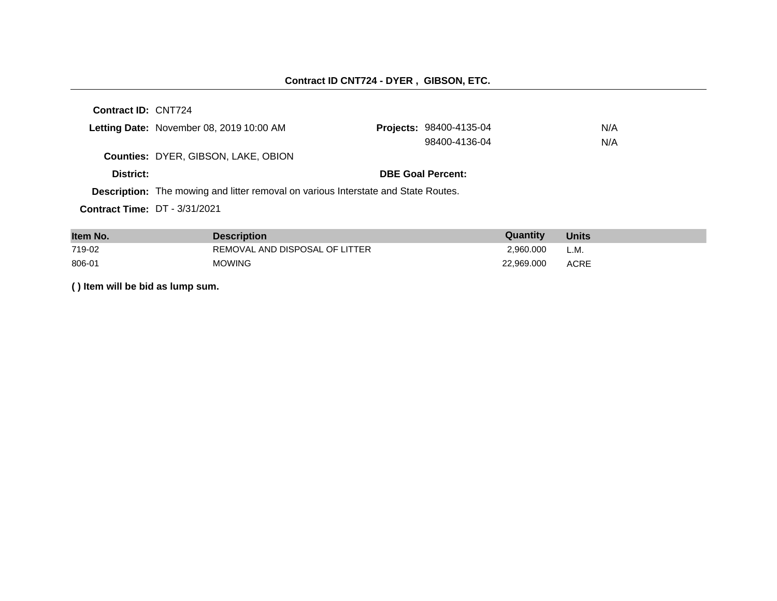|                                      | Letting Date: November 08, 2019 10:00 AM                                                  | <b>Projects: 98400-4135-04</b> | N/A |
|--------------------------------------|-------------------------------------------------------------------------------------------|--------------------------------|-----|
|                                      |                                                                                           | 98400-4136-04                  | N/A |
|                                      | <b>Counties: DYER, GIBSON, LAKE, OBION</b>                                                |                                |     |
| District:                            |                                                                                           | <b>DBE Goal Percent:</b>       |     |
|                                      | <b>Description:</b> The mowing and litter removal on various Interstate and State Routes. |                                |     |
| <b>Contract Time: DT - 3/31/2021</b> |                                                                                           |                                |     |

| Item No. | <b>Description</b>             | Quantity   | <b>Units</b> |
|----------|--------------------------------|------------|--------------|
| 719-02   | REMOVAL AND DISPOSAL OF LITTER | 2.960.000  | L.M.         |
| 806-01   | <b>MOWING</b>                  | 22.969.000 | ACRE         |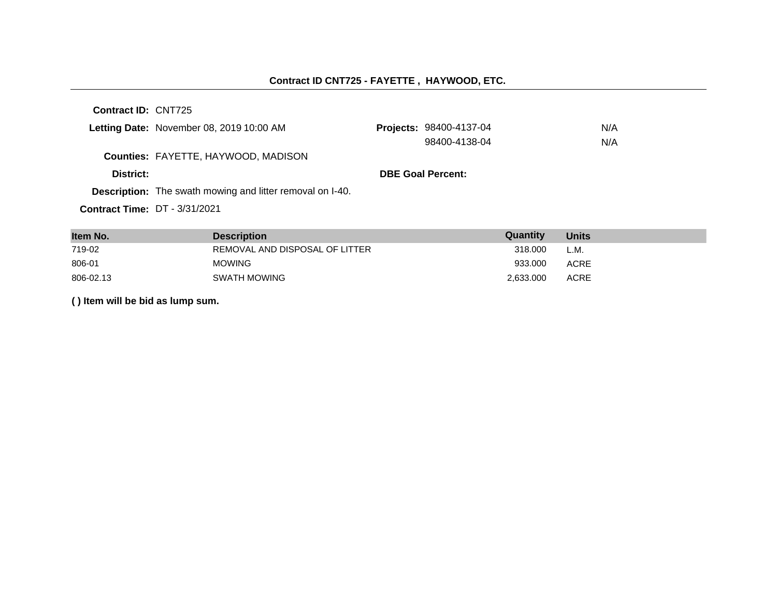### **Contract ID CNT725 - FAYETTE , HAYWOOD, ETC.**

**Contract ID:** CNT725

|           | Letting Date: November 08, 2019 10:00 AM                         | <b>Projects: 98400-4137-04</b> | N/A |
|-----------|------------------------------------------------------------------|--------------------------------|-----|
|           |                                                                  | 98400-4138-04                  | N/A |
|           | <b>Counties: FAYETTE, HAYWOOD, MADISON</b>                       |                                |     |
| District: |                                                                  | <b>DBE Goal Percent:</b>       |     |
|           | <b>Description:</b> The swath mowing and litter removal on I-40. |                                |     |
|           | <b>Contract Time: DT - 3/31/2021</b>                             |                                |     |

| Item No.  | <b>Description</b>             | Quantity  | <b>Units</b> |
|-----------|--------------------------------|-----------|--------------|
| 719-02    | REMOVAL AND DISPOSAL OF LITTER | 318,000   | L.M.         |
| 806-01    | <b>MOWING</b>                  | 933.000   | ACRE         |
| 806-02.13 | SWATH MOWING                   | 2.633.000 | <b>ACRE</b>  |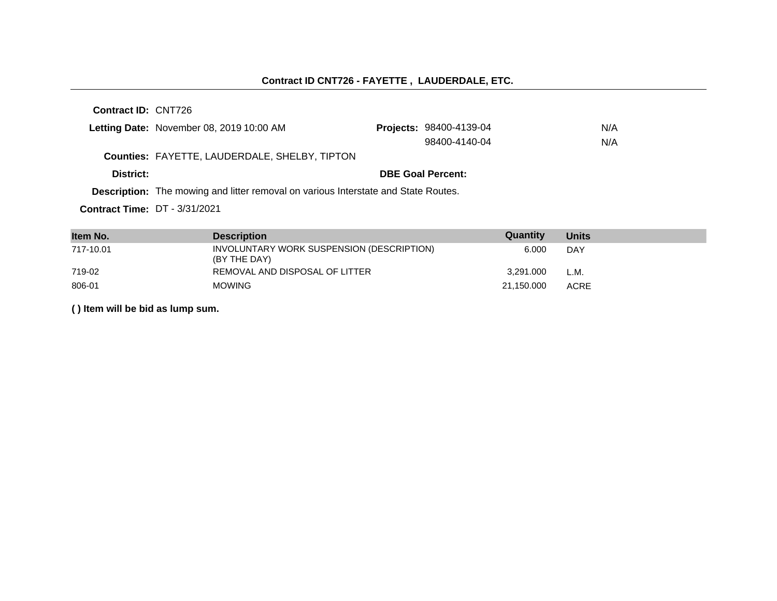# **Contract ID CNT726 - FAYETTE , LAUDERDALE, ETC.**

**Contract ID:** CNT726

|           | Letting Date: November 08, 2019 10:00 AM                                                  | <b>Projects: 98400-4139-04</b> | N/A |
|-----------|-------------------------------------------------------------------------------------------|--------------------------------|-----|
|           |                                                                                           | 98400-4140-04                  | N/A |
|           | <b>Counties: FAYETTE, LAUDERDALE, SHELBY, TIPTON</b>                                      |                                |     |
| District: |                                                                                           | <b>DBE Goal Percent:</b>       |     |
|           | <b>Description:</b> The mowing and litter removal on various Interstate and State Routes. |                                |     |
|           |                                                                                           |                                |     |

**Contract Time:** DT - 3/31/2021

| Item No.  | <b>Description</b>                                        | Quantity   | <b>Units</b> |
|-----------|-----------------------------------------------------------|------------|--------------|
| 717-10.01 | INVOLUNTARY WORK SUSPENSION (DESCRIPTION)<br>(BY THE DAY) | 6.000      | <b>DAY</b>   |
| 719-02    | REMOVAL AND DISPOSAL OF LITTER                            | 3.291.000  | L.M.         |
| 806-01    | <b>MOWING</b>                                             | 21,150.000 | <b>ACRE</b>  |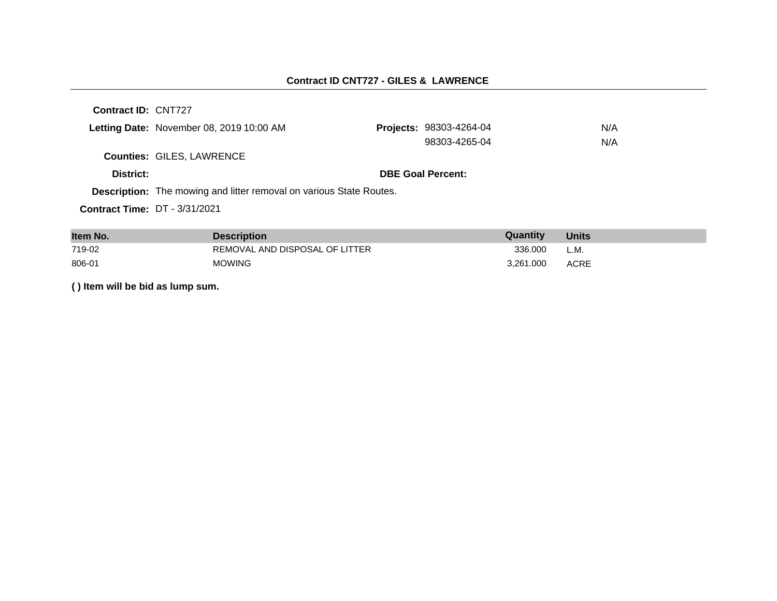## **Contract ID CNT727 - GILES & LAWRENCE**

| Contract ID: CNT727                  |                                                                            |                                |     |
|--------------------------------------|----------------------------------------------------------------------------|--------------------------------|-----|
|                                      | Letting Date: November 08, 2019 10:00 AM                                   | <b>Projects: 98303-4264-04</b> | N/A |
|                                      |                                                                            | 98303-4265-04                  | N/A |
|                                      | <b>Counties: GILES, LAWRENCE</b>                                           |                                |     |
| District:                            |                                                                            | <b>DBE Goal Percent:</b>       |     |
|                                      | <b>Description:</b> The mowing and litter removal on various State Routes. |                                |     |
| <b>Contract Time: DT - 3/31/2021</b> |                                                                            |                                |     |
|                                      |                                                                            |                                |     |

| Item No. | <b>Description</b>             | Quantity  | <b>Units</b> |
|----------|--------------------------------|-----------|--------------|
| 719-02   | REMOVAL AND DISPOSAL OF LITTER | 336,000   | L.M.         |
| 806-01   | <b>MOWING</b>                  | 3.261.000 | ACRE         |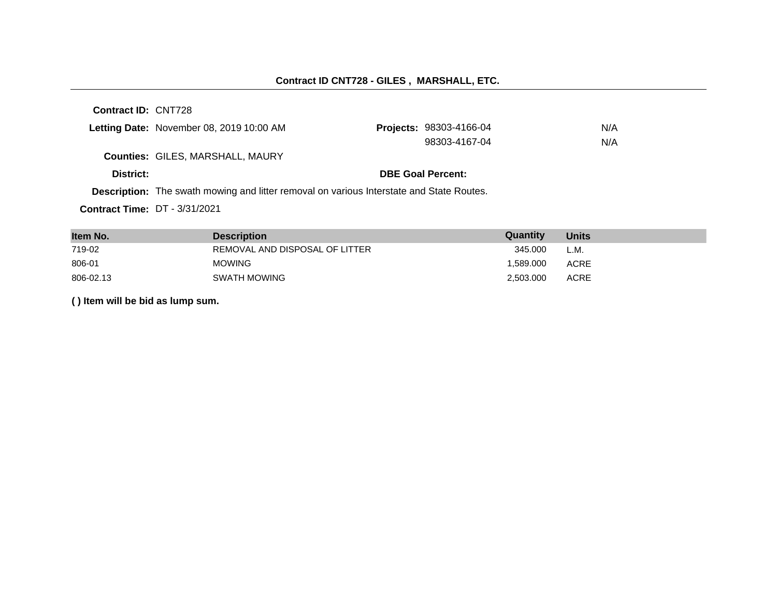|           | Letting Date: November 08, 2019 10:00 AM                                                        | <b>Projects: 98303-4166-04</b> | N/A |
|-----------|-------------------------------------------------------------------------------------------------|--------------------------------|-----|
|           |                                                                                                 | 98303-4167-04                  | N/A |
|           | <b>Counties: GILES, MARSHALL, MAURY</b>                                                         |                                |     |
| District: |                                                                                                 | <b>DBE Goal Percent:</b>       |     |
|           | <b>Description:</b> The swath mowing and litter removal on various Interstate and State Routes. |                                |     |
|           |                                                                                                 |                                |     |

**Contract Time:** DT - 3/31/2021

| Item No.  | <b>Description</b>             | Quantity  | <b>Units</b> |
|-----------|--------------------------------|-----------|--------------|
| 719-02    | REMOVAL AND DISPOSAL OF LITTER | 345.000   | L.M.         |
| 806-01    | <b>MOWING</b>                  | 1.589.000 | ACRE         |
| 806-02.13 | <b>SWATH MOWING</b>            | 2.503.000 | <b>ACRE</b>  |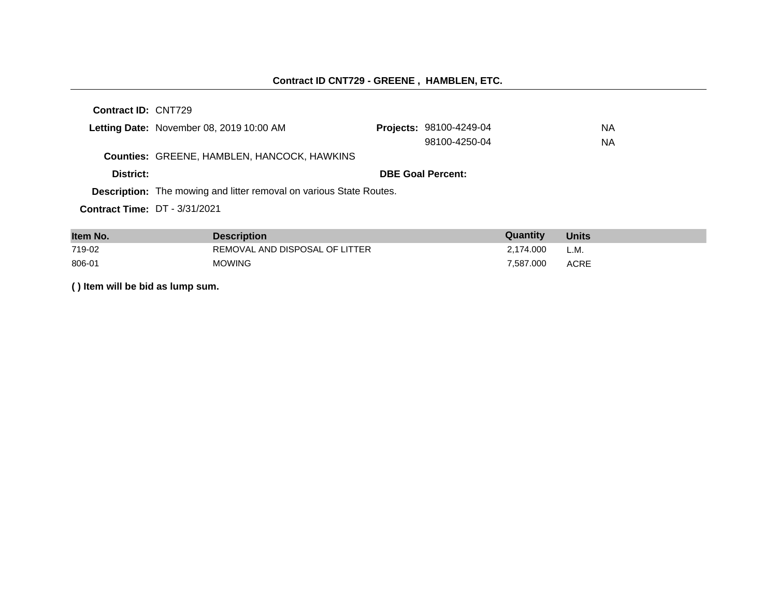|                                      | Letting Date: November 08, 2019 10:00 AM                                   | Projects: 98100-4249-04  | NA. |
|--------------------------------------|----------------------------------------------------------------------------|--------------------------|-----|
|                                      |                                                                            | 98100-4250-04            | NA. |
|                                      | <b>Counties: GREENE, HAMBLEN, HANCOCK, HAWKINS</b>                         |                          |     |
| District:                            |                                                                            | <b>DBE Goal Percent:</b> |     |
|                                      | <b>Description:</b> The mowing and litter removal on various State Routes. |                          |     |
| <b>Contract Time: DT - 3/31/2021</b> |                                                                            |                          |     |

| Item No. | <b>Description</b>             | Quantity  | <b>Units</b> |
|----------|--------------------------------|-----------|--------------|
| 719-02   | REMOVAL AND DISPOSAL OF LITTER | 2.174.000 | L.M.         |
| 806-01   | <b>MOWING</b>                  | 7.587.000 | <b>ACRE</b>  |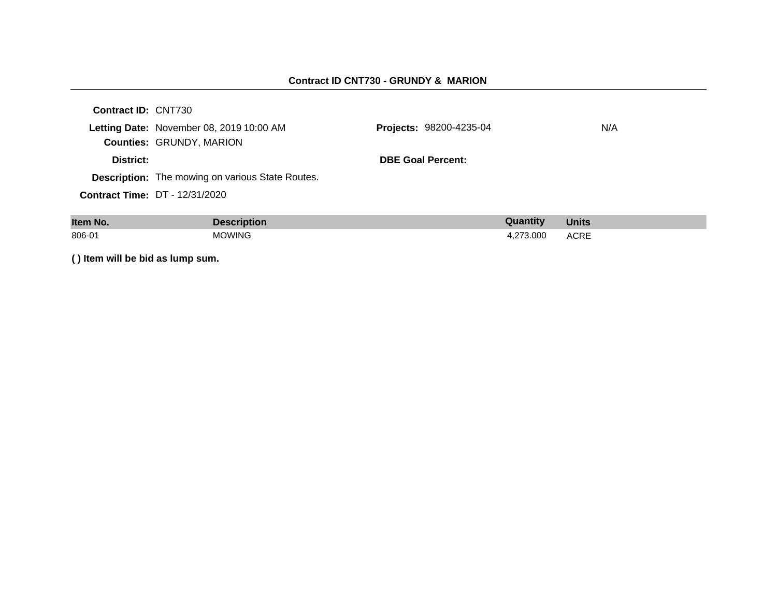#### **Contract ID CNT730 - GRUNDY & MARION**

| <b>Contract ID: CNT730</b> |                                                         |                                |     |
|----------------------------|---------------------------------------------------------|--------------------------------|-----|
|                            | Letting Date: November 08, 2019 10:00 AM                | <b>Projects: 98200-4235-04</b> | N/A |
|                            | <b>Counties: GRUNDY, MARION</b>                         |                                |     |
| District:                  |                                                         | <b>DBE Goal Percent:</b>       |     |
|                            | <b>Description:</b> The mowing on various State Routes. |                                |     |
|                            | <b>Contract Time: DT - 12/31/2020</b>                   |                                |     |
|                            |                                                         |                                |     |

| Item No. | <b>Description</b> | Quantity  | <b>Units</b> |
|----------|--------------------|-----------|--------------|
| 806-01   | <b>MOWING</b>      | 4.273.000 | <b>ACRE</b>  |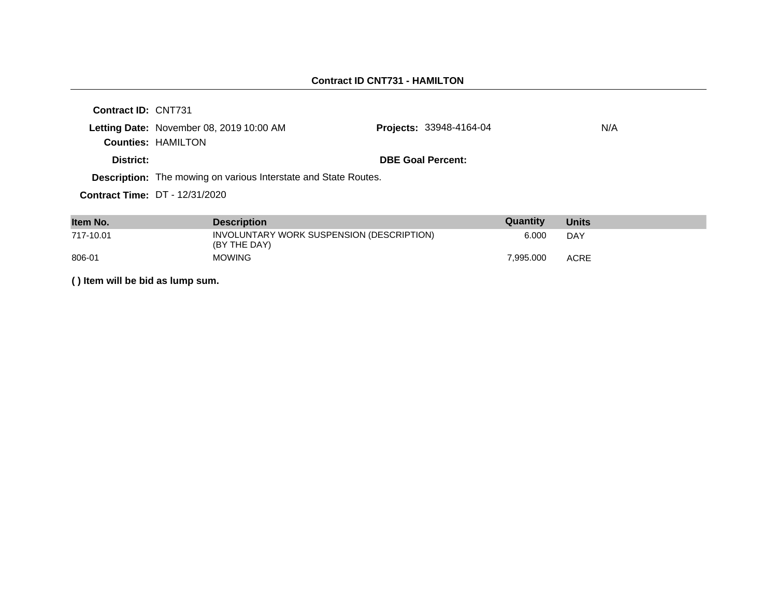| Contract ID: CNT731 |                                                                        |                                |     |
|---------------------|------------------------------------------------------------------------|--------------------------------|-----|
|                     | Letting Date: November 08, 2019 10:00 AM<br><b>Counties: HAMILTON</b>  | <b>Projects: 33948-4164-04</b> | N/A |
| District:           |                                                                        | <b>DBE Goal Percent:</b>       |     |
|                     | <b>Description:</b> The mowing on various Interstate and State Routes. |                                |     |
|                     | <b>Contract Time: DT - 12/31/2020</b>                                  |                                |     |
|                     |                                                                        |                                |     |

| Item No.  | <b>Description</b>                                        | Quantity  | <b>Units</b> |
|-----------|-----------------------------------------------------------|-----------|--------------|
| 717-10.01 | INVOLUNTARY WORK SUSPENSION (DESCRIPTION)<br>(BY THE DAY) | 6.000     | DAY          |
| 806-01    | <b>MOWING</b>                                             | 7.995.000 | <b>ACRE</b>  |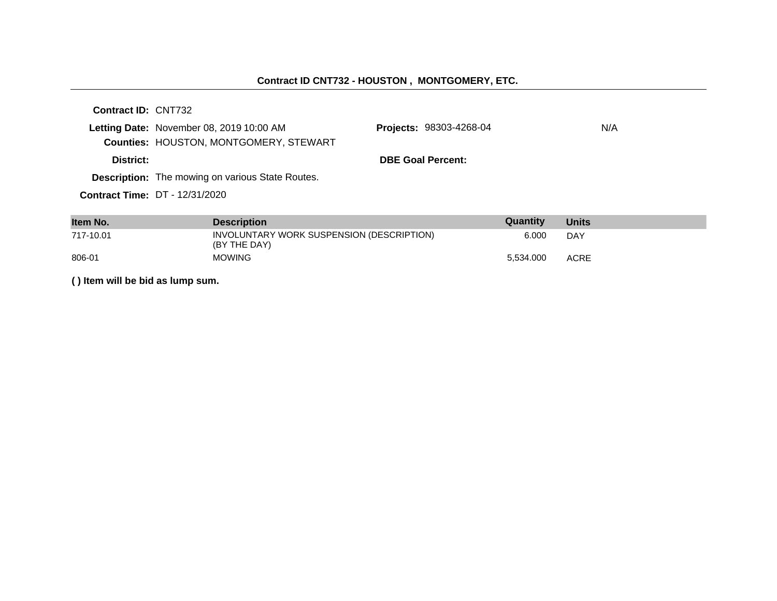# **Contract ID CNT732 - HOUSTON , MONTGOMERY, ETC.**

| <b>Contract ID: CNT732</b> |                                                         |                                |     |
|----------------------------|---------------------------------------------------------|--------------------------------|-----|
|                            | Letting Date: November 08, 2019 10:00 AM                | <b>Projects: 98303-4268-04</b> | N/A |
|                            | <b>Counties: HOUSTON, MONTGOMERY, STEWART</b>           |                                |     |
| District:                  |                                                         | <b>DBE Goal Percent:</b>       |     |
|                            | <b>Description:</b> The mowing on various State Routes. |                                |     |
|                            | <b>Contract Time: DT - 12/31/2020</b>                   |                                |     |

| Item No.  | <b>Description</b>                                        | Quantity  | <b>Units</b> |
|-----------|-----------------------------------------------------------|-----------|--------------|
| 717-10.01 | INVOLUNTARY WORK SUSPENSION (DESCRIPTION)<br>(BY THE DAY) | 6.000     | DAY          |
| 806-01    | <b>MOWING</b>                                             | 5.534.000 | <b>ACRE</b>  |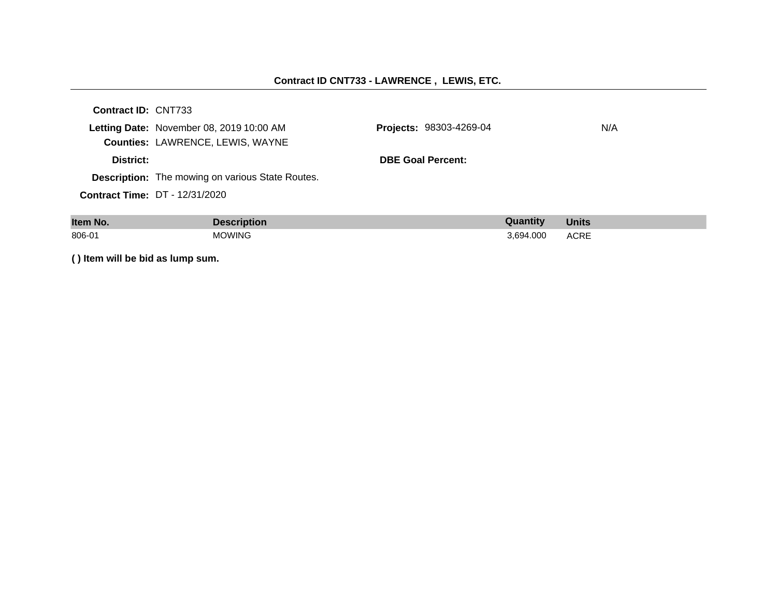#### **Contract ID CNT733 - LAWRENCE , LEWIS, ETC.**

| <b>Contract ID: CNT733</b> |                                                  |                                |     |
|----------------------------|--------------------------------------------------|--------------------------------|-----|
|                            | Letting Date: November 08, 2019 10:00 AM         | <b>Projects: 98303-4269-04</b> | N/A |
|                            | <b>Counties: LAWRENCE, LEWIS, WAYNE</b>          |                                |     |
| District:                  |                                                  | <b>DBE Goal Percent:</b>       |     |
|                            | Description: The mowing on various State Routes. |                                |     |
|                            | <b>Contract Time: DT - 12/31/2020</b>            |                                |     |
|                            |                                                  |                                |     |

| Item No. | <b>Description</b> | Quantity  | <b>Units</b> |
|----------|--------------------|-----------|--------------|
| 806-01   | <b>MOWING</b>      | 3,694.000 | <b>ACRE</b>  |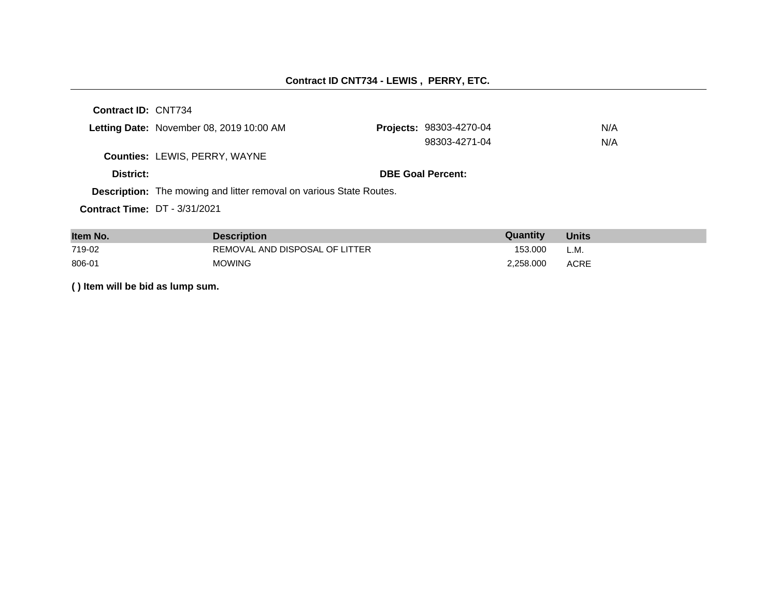#### **Contract ID CNT734 - LEWIS , PERRY, ETC.**

**Contract ID:** CNT734 Letting Date: November 08, 2019 10:00 AM **Counties:** LEWIS, PERRY, WAYNE **District: District: DBE Goal Percent: Contract Time:** DT - 3/31/2021 **Description:** The mowing and litter removal on various State Routes. Projects: 98303-4270-04 N/A 98303-4271-04 N/A

| Item No. | <b>Description</b>             | Quantity  | <b>Units</b> |
|----------|--------------------------------|-----------|--------------|
| 719-02   | REMOVAL AND DISPOSAL OF LITTER | 153.000   | L.M.         |
| 806-01   | <b>MOWING</b>                  | 2.258.000 | ACRE         |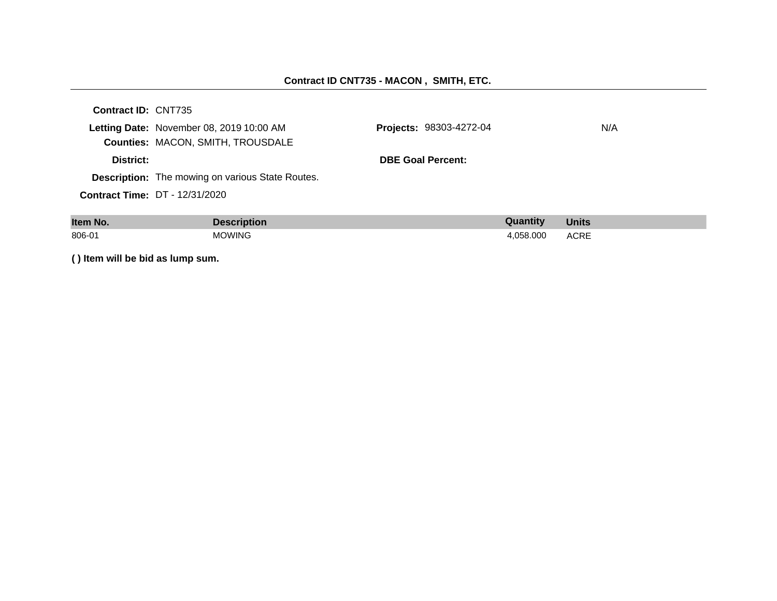#### **Contract ID CNT735 - MACON , SMITH, ETC.**

| <b>Contract ID: CNT735</b> |                                                  |                                |     |
|----------------------------|--------------------------------------------------|--------------------------------|-----|
|                            | Letting Date: November 08, 2019 10:00 AM         | <b>Projects: 98303-4272-04</b> | N/A |
|                            | <b>Counties: MACON, SMITH, TROUSDALE</b>         |                                |     |
| District:                  |                                                  | <b>DBE Goal Percent:</b>       |     |
|                            | Description: The mowing on various State Routes. |                                |     |
|                            | <b>Contract Time: DT - 12/31/2020</b>            |                                |     |
|                            |                                                  |                                |     |

| Item No. | <b>Description</b> | Quantity  | <b>Units</b> |
|----------|--------------------|-----------|--------------|
| 806-01   | <b>MOWING</b>      | 4.058.000 | <b>ACRE</b>  |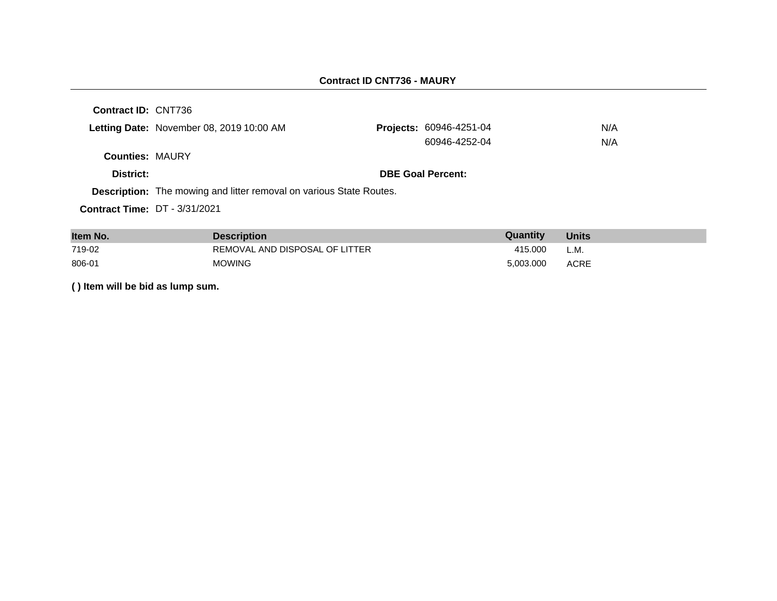| Contract ID: CNT736                  |                                                                            |                          |     |
|--------------------------------------|----------------------------------------------------------------------------|--------------------------|-----|
|                                      | Letting Date: November 08, 2019 10:00 AM                                   | Projects: 60946-4251-04  | N/A |
|                                      |                                                                            | 60946-4252-04            | N/A |
| <b>Counties: MAURY</b>               |                                                                            |                          |     |
| District:                            |                                                                            | <b>DBE Goal Percent:</b> |     |
|                                      | <b>Description:</b> The mowing and litter removal on various State Routes. |                          |     |
| <b>Contract Time: DT - 3/31/2021</b> |                                                                            |                          |     |
|                                      |                                                                            |                          |     |

| Item No. | <b>Description</b>             | Quantity  | <b>Units</b> |
|----------|--------------------------------|-----------|--------------|
| 719-02   | REMOVAL AND DISPOSAL OF LITTER | 415.000   | L.M.         |
| 806-01   | <b>MOWING</b>                  | 5.003.000 | ACRE         |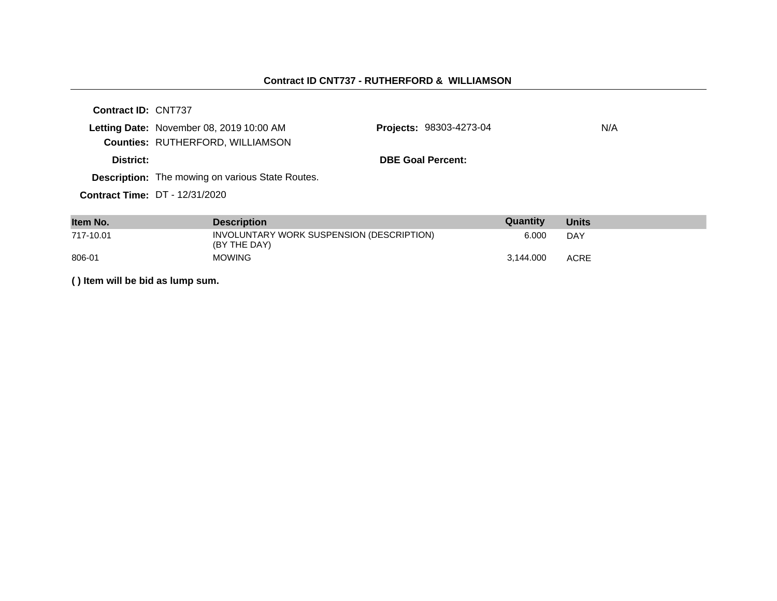#### **Contract ID CNT737 - RUTHERFORD & WILLIAMSON**

| Contract ID: CNT737 |                                                         |                                |     |
|---------------------|---------------------------------------------------------|--------------------------------|-----|
|                     | Letting Date: November 08, 2019 10:00 AM                | <b>Projects: 98303-4273-04</b> | N/A |
|                     | <b>Counties: RUTHERFORD, WILLIAMSON</b>                 |                                |     |
| District:           |                                                         | <b>DBE Goal Percent:</b>       |     |
|                     | <b>Description:</b> The mowing on various State Routes. |                                |     |
|                     | <b>Contract Time: DT - 12/31/2020</b>                   |                                |     |

| Item No.  | <b>Description</b>                                        | Quantity  | <b>Units</b> |
|-----------|-----------------------------------------------------------|-----------|--------------|
| 717-10.01 | INVOLUNTARY WORK SUSPENSION (DESCRIPTION)<br>(BY THE DAY) | 6.000     | DAY          |
| 806-01    | <b>MOWING</b>                                             | 3.144.000 | <b>ACRE</b>  |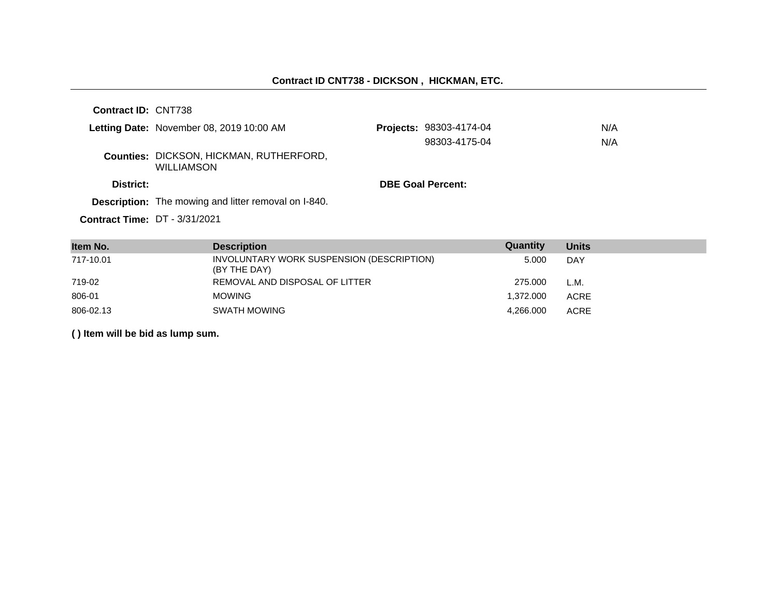| <b>Contract ID: CNT738</b>           |                                                                     |                          |                         |     |
|--------------------------------------|---------------------------------------------------------------------|--------------------------|-------------------------|-----|
|                                      | Letting Date: November 08, 2019 10:00 AM                            |                          | Projects: 98303-4174-04 | N/A |
|                                      |                                                                     |                          | 98303-4175-04           | N/A |
|                                      | <b>Counties: DICKSON, HICKMAN, RUTHERFORD,</b><br><b>WILLIAMSON</b> |                          |                         |     |
| District:                            |                                                                     | <b>DBE Goal Percent:</b> |                         |     |
|                                      | <b>Description:</b> The mowing and litter removal on I-840.         |                          |                         |     |
| <b>Contract Time: DT - 3/31/2021</b> |                                                                     |                          |                         |     |

| Item No.  | <b>Description</b>                                        | Quantity  | <b>Units</b> |
|-----------|-----------------------------------------------------------|-----------|--------------|
| 717-10.01 | INVOLUNTARY WORK SUSPENSION (DESCRIPTION)<br>(BY THE DAY) | 5.000     | DAY          |
| 719-02    | REMOVAL AND DISPOSAL OF LITTER                            | 275,000   | L.M.         |
| 806-01    | <b>MOWING</b>                                             | 1.372.000 | <b>ACRE</b>  |
| 806-02.13 | SWATH MOWING                                              | 4.266.000 | <b>ACRE</b>  |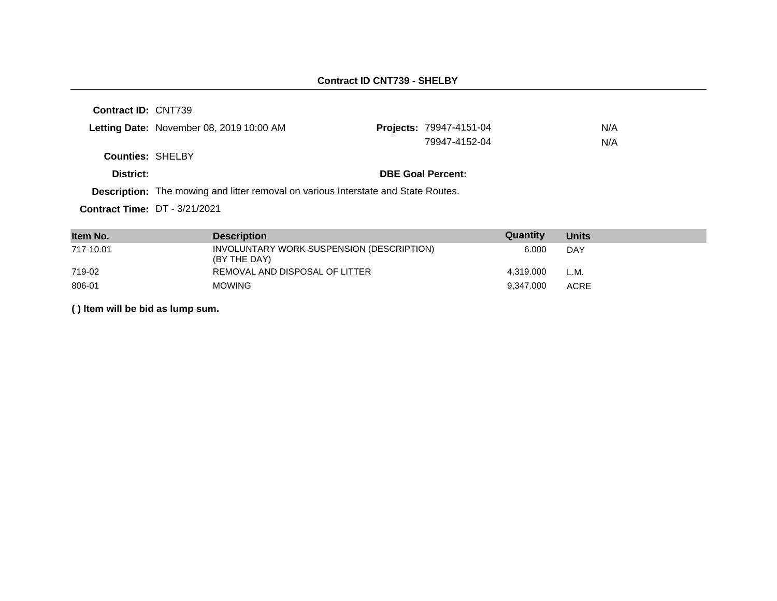## **Contract ID CNT739 - SHELBY**

**Contract ID:** CNT739

|                         | Letting Date: November 08, 2019 10:00 AM | <b>Projects: 79947-4151-04</b> | N/A |
|-------------------------|------------------------------------------|--------------------------------|-----|
|                         |                                          | 79947-4152-04                  | N/A |
| <b>Counties: SHELBY</b> |                                          |                                |     |
| District:               |                                          | <b>DBE Goal Percent:</b>       |     |

**Description:** The mowing and litter removal on various Interstate and State Routes.

**Contract Time:** DT - 3/21/2021

| Item No.  | <b>Description</b>                                        | Quantity  | <b>Units</b> |
|-----------|-----------------------------------------------------------|-----------|--------------|
| 717-10.01 | INVOLUNTARY WORK SUSPENSION (DESCRIPTION)<br>(BY THE DAY) | 6.000     | DAY          |
| 719-02    | REMOVAL AND DISPOSAL OF LITTER                            | 4.319.000 | L.M.         |
| 806-01    | <b>MOWING</b>                                             | 9.347.000 | <b>ACRE</b>  |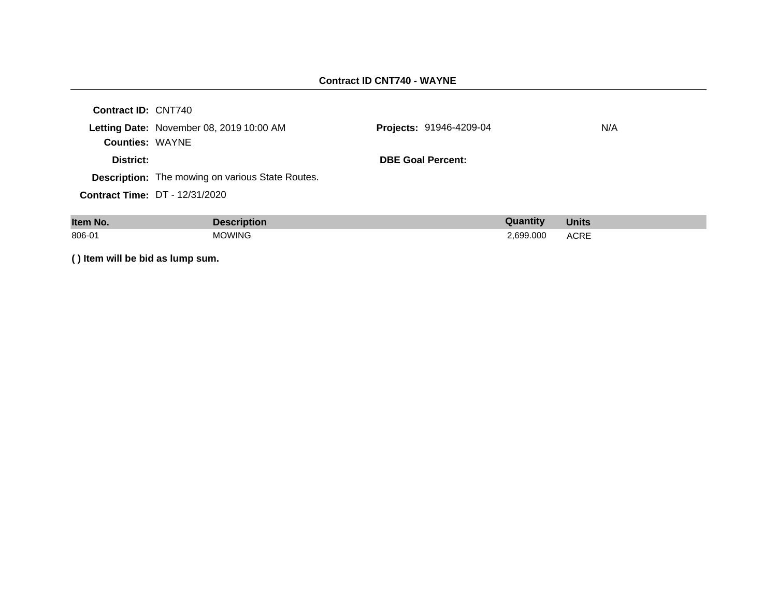#### **Contract ID CNT740 - WAYNE**

| <b>Contract ID: CNT740</b> |                                                         |                                |     |
|----------------------------|---------------------------------------------------------|--------------------------------|-----|
|                            | Letting Date: November 08, 2019 10:00 AM                | <b>Projects: 91946-4209-04</b> | N/A |
| <b>Counties: WAYNE</b>     |                                                         |                                |     |
| District:                  |                                                         | <b>DBE Goal Percent:</b>       |     |
|                            | <b>Description:</b> The mowing on various State Routes. |                                |     |
|                            | <b>Contract Time: DT - 12/31/2020</b>                   |                                |     |
|                            |                                                         |                                |     |

| Item No. | <b>Description</b> | Quantity  | <b>Units</b> |
|----------|--------------------|-----------|--------------|
| 806-01   | <b>MOWING</b>      | 2,699.000 | <b>ACRE</b>  |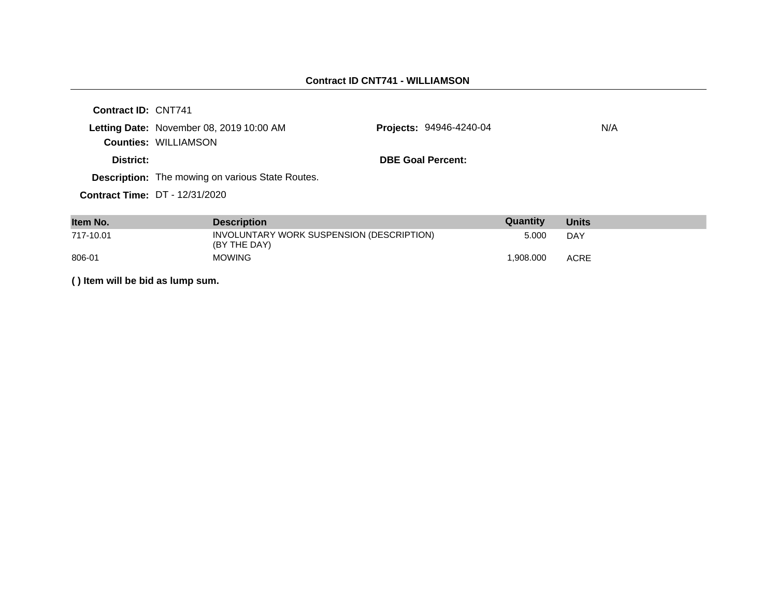| Contract ID: CNT741 |                                                                         |                                |     |
|---------------------|-------------------------------------------------------------------------|--------------------------------|-----|
|                     | Letting Date: November 08, 2019 10:00 AM<br><b>Counties: WILLIAMSON</b> | <b>Projects: 94946-4240-04</b> | N/A |
| District:           |                                                                         | <b>DBE Goal Percent:</b>       |     |
|                     | <b>Description:</b> The mowing on various State Routes.                 |                                |     |
|                     | <b>Contract Time: DT - 12/31/2020</b>                                   |                                |     |

| Item No.  | <b>Description</b>                                        | Quantity  | <b>Units</b> |
|-----------|-----------------------------------------------------------|-----------|--------------|
| 717-10.01 | INVOLUNTARY WORK SUSPENSION (DESCRIPTION)<br>(BY THE DAY) | 5.000     | DAY          |
| 806-01    | <b>MOWING</b>                                             | 1.908.000 | <b>ACRE</b>  |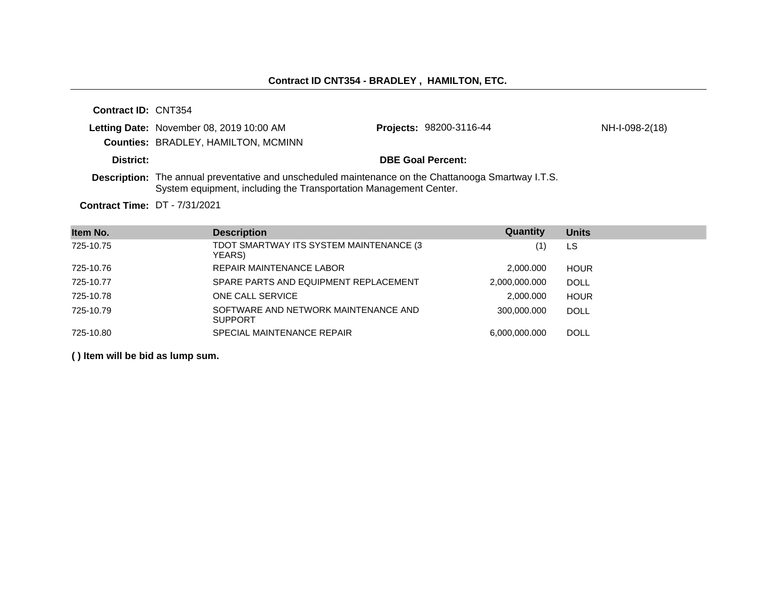NH-I-098-2(18)

**Contract ID:** CNT354 **Letting Date:** November 08, 2019 10:00 AM **Projects: Counties:** BRADLEY, HAMILTON, MCMINN **District: DBE Goal Percent: Description:** The annual preventative and unscheduled maintenance on the Chattanooga Smartway I.T.S.

System equipment, including the Transportation Management Center.

**Contract Time:** DT - 7/31/2021

| Item No.  | <b>Description</b>                                     | Quantity      | <b>Units</b> |
|-----------|--------------------------------------------------------|---------------|--------------|
| 725-10.75 | TDOT SMARTWAY ITS SYSTEM MAINTENANCE (3)<br>YEARS)     | (1)           | LS           |
| 725-10.76 | REPAIR MAINTENANCE LABOR                               | 2.000.000     | <b>HOUR</b>  |
| 725-10.77 | SPARE PARTS AND EQUIPMENT REPLACEMENT                  | 2,000,000.000 | <b>DOLL</b>  |
| 725-10.78 | ONE CALL SERVICE                                       | 2.000.000     | <b>HOUR</b>  |
| 725-10.79 | SOFTWARE AND NETWORK MAINTENANCE AND<br><b>SUPPORT</b> | 300.000.000   | <b>DOLL</b>  |
| 725-10.80 | SPECIAL MAINTENANCE REPAIR                             | 6.000.000.000 | <b>DOLL</b>  |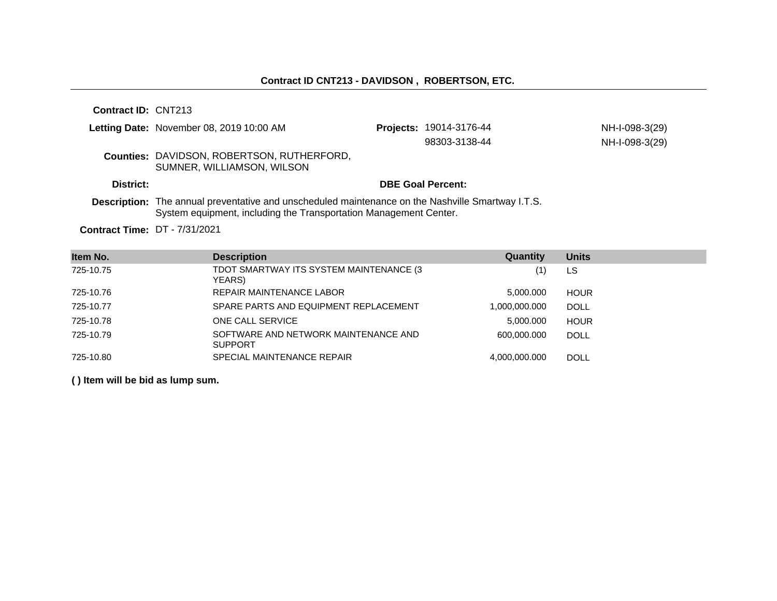|           | Letting Date: November 08, 2019 10:00 AM                                                                                                                                      | <b>Projects: 19014-3176-44</b> | NH-I-098-3(29) |
|-----------|-------------------------------------------------------------------------------------------------------------------------------------------------------------------------------|--------------------------------|----------------|
|           |                                                                                                                                                                               | 98303-3138-44                  | NH-I-098-3(29) |
|           | <b>Counties: DAVIDSON, ROBERTSON, RUTHERFORD,</b><br>SUMNER, WILLIAMSON, WILSON                                                                                               |                                |                |
| District: |                                                                                                                                                                               | <b>DBE Goal Percent:</b>       |                |
|           | <b>Description:</b> The annual preventative and unscheduled maintenance on the Nashville Smartway I.T.S.<br>System equipment, including the Transportation Management Center. |                                |                |

**Contract Time:** DT - 7/31/2021

| Item No.  | <b>Description</b>                                     | Quantity      | <b>Units</b> |
|-----------|--------------------------------------------------------|---------------|--------------|
| 725-10.75 | TDOT SMARTWAY ITS SYSTEM MAINTENANCE (3<br>YEARS)      |               | LS           |
| 725-10.76 | <b>REPAIR MAINTENANCE LABOR</b>                        | 5.000.000     | <b>HOUR</b>  |
| 725-10.77 | SPARE PARTS AND EQUIPMENT REPLACEMENT                  | 1,000,000.000 | <b>DOLL</b>  |
| 725-10.78 | ONE CALL SERVICE                                       | 5,000.000     | <b>HOUR</b>  |
| 725-10.79 | SOFTWARE AND NETWORK MAINTENANCE AND<br><b>SUPPORT</b> | 600,000,000   | <b>DOLL</b>  |
| 725-10.80 | SPECIAL MAINTENANCE REPAIR                             | 4.000.000.000 | <b>DOLL</b>  |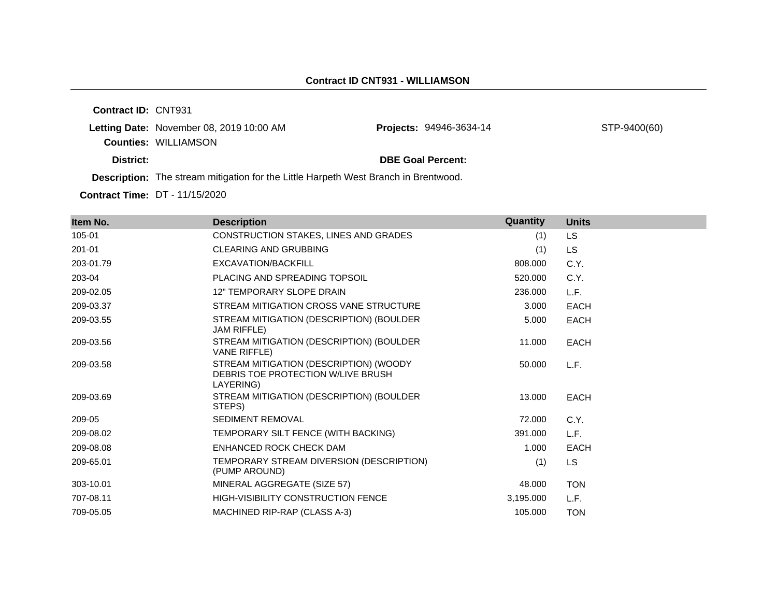**Contract ID:** CNT931 Letting Date: November 08, 2019 10:00 AM **Counties:** WILLIAMSON

Projects: 94946-3634-14 STP-9400(60)

**District: District: DBE Goal Percent:** 

**Description:** The stream mitigation for the Little Harpeth West Branch in Brentwood.

**Contract Time:** DT - 11/15/2020

| Item No.  | <b>Description</b>                                                                        | Quantity  | <b>Units</b> |
|-----------|-------------------------------------------------------------------------------------------|-----------|--------------|
| 105-01    | CONSTRUCTION STAKES, LINES AND GRADES                                                     | (1)       | LS.          |
| 201-01    | <b>CLEARING AND GRUBBING</b>                                                              | (1)       | <b>LS</b>    |
| 203-01.79 | EXCAVATION/BACKFILL                                                                       | 808,000   | C.Y.         |
| 203-04    | PLACING AND SPREADING TOPSOIL                                                             | 520.000   |              |
|           |                                                                                           |           | C.Y.         |
| 209-02.05 | 12" TEMPORARY SLOPE DRAIN                                                                 | 236,000   | L.F.         |
| 209-03.37 | STREAM MITIGATION CROSS VANE STRUCTURE                                                    | 3.000     | <b>EACH</b>  |
| 209-03.55 | STREAM MITIGATION (DESCRIPTION) (BOULDER<br>JAM RIFFLE)                                   | 5.000     | <b>EACH</b>  |
| 209-03.56 | STREAM MITIGATION (DESCRIPTION) (BOULDER<br><b>VANE RIFFLE)</b>                           | 11.000    | <b>EACH</b>  |
| 209-03.58 | STREAM MITIGATION (DESCRIPTION) (WOODY<br>DEBRIS TOE PROTECTION W/LIVE BRUSH<br>LAYERING) | 50,000    | L.F.         |
| 209-03.69 | STREAM MITIGATION (DESCRIPTION) (BOULDER<br>STEPS)                                        | 13.000    | <b>EACH</b>  |
| 209-05    | <b>SEDIMENT REMOVAL</b>                                                                   | 72.000    | C.Y.         |
| 209-08.02 | TEMPORARY SILT FENCE (WITH BACKING)                                                       | 391.000   | L.F.         |
| 209-08.08 | ENHANCED ROCK CHECK DAM                                                                   | 1.000     | <b>EACH</b>  |
| 209-65.01 | TEMPORARY STREAM DIVERSION (DESCRIPTION)<br>(PUMP AROUND)                                 | (1)       | LS.          |
| 303-10.01 | MINERAL AGGREGATE (SIZE 57)                                                               | 48.000    | <b>TON</b>   |
| 707-08.11 | <b>HIGH-VISIBILITY CONSTRUCTION FENCE</b>                                                 | 3,195.000 | L.F.         |
| 709-05.05 | MACHINED RIP-RAP (CLASS A-3)                                                              | 105.000   | <b>TON</b>   |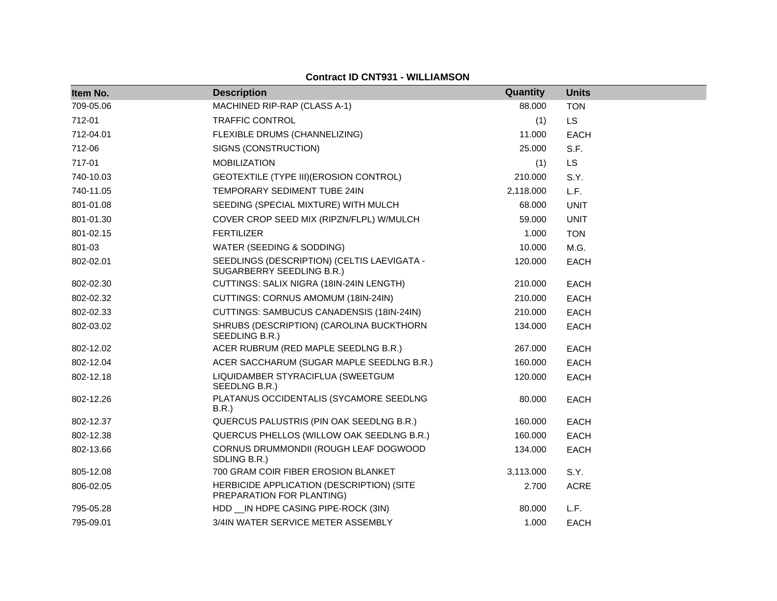|  |  | <b>Contract ID CNT931 - WILLIAMSON</b> |
|--|--|----------------------------------------|
|--|--|----------------------------------------|

| Item No.  | <b>Description</b>                                                       | Quantity  | <b>Units</b> |
|-----------|--------------------------------------------------------------------------|-----------|--------------|
| 709-05.06 | MACHINED RIP-RAP (CLASS A-1)                                             | 88.000    | <b>TON</b>   |
| 712-01    | <b>TRAFFIC CONTROL</b>                                                   | (1)       | <b>LS</b>    |
| 712-04.01 | FLEXIBLE DRUMS (CHANNELIZING)                                            | 11.000    | <b>EACH</b>  |
| 712-06    | SIGNS (CONSTRUCTION)                                                     | 25.000    | S.F.         |
| 717-01    | <b>MOBILIZATION</b>                                                      | (1)       | LS.          |
| 740-10.03 | GEOTEXTILE (TYPE III) (EROSION CONTROL)                                  | 210.000   | S.Y.         |
| 740-11.05 | TEMPORARY SEDIMENT TUBE 24IN                                             | 2,118.000 | L.F.         |
| 801-01.08 | SEEDING (SPECIAL MIXTURE) WITH MULCH                                     | 68.000    | <b>UNIT</b>  |
| 801-01.30 | COVER CROP SEED MIX (RIPZN/FLPL) W/MULCH                                 | 59.000    | <b>UNIT</b>  |
| 801-02.15 | <b>FERTILIZER</b>                                                        | 1.000     | <b>TON</b>   |
| 801-03    | WATER (SEEDING & SODDING)                                                | 10.000    | M.G.         |
| 802-02.01 | SEEDLINGS (DESCRIPTION) (CELTIS LAEVIGATA -<br>SUGARBERRY SEEDLING B.R.) | 120.000   | <b>EACH</b>  |
| 802-02.30 | CUTTINGS: SALIX NIGRA (18IN-24IN LENGTH)                                 | 210.000   | <b>EACH</b>  |
| 802-02.32 | CUTTINGS: CORNUS AMOMUM (18IN-24IN)                                      | 210.000   | <b>EACH</b>  |
| 802-02.33 | CUTTINGS: SAMBUCUS CANADENSIS (18IN-24IN)                                | 210.000   | <b>EACH</b>  |
| 802-03.02 | SHRUBS (DESCRIPTION) (CAROLINA BUCKTHORN<br>SEEDLING B.R.)               | 134.000   | <b>EACH</b>  |
| 802-12.02 | ACER RUBRUM (RED MAPLE SEEDLNG B.R.)                                     | 267.000   | <b>EACH</b>  |
| 802-12.04 | ACER SACCHARUM (SUGAR MAPLE SEEDLNG B.R.)                                | 160.000   | <b>EACH</b>  |
| 802-12.18 | LIQUIDAMBER STYRACIFLUA (SWEETGUM<br>SEEDLNG B.R.)                       | 120.000   | EACH         |
| 802-12.26 | PLATANUS OCCIDENTALIS (SYCAMORE SEEDLNG<br>B.R.                          | 80.000    | EACH         |
| 802-12.37 | QUERCUS PALUSTRIS (PIN OAK SEEDLNG B.R.)                                 | 160.000   | <b>EACH</b>  |
| 802-12.38 | QUERCUS PHELLOS (WILLOW OAK SEEDLNG B.R.)                                | 160.000   | <b>EACH</b>  |
| 802-13.66 | CORNUS DRUMMONDII (ROUGH LEAF DOGWOOD<br>SDLING B.R.)                    | 134.000   | EACH         |
| 805-12.08 | 700 GRAM COIR FIBER EROSION BLANKET                                      | 3,113.000 | S.Y.         |
| 806-02.05 | HERBICIDE APPLICATION (DESCRIPTION) (SITE<br>PREPARATION FOR PLANTING)   | 2.700     | <b>ACRE</b>  |
| 795-05.28 | HDD __ IN HDPE CASING PIPE-ROCK (3IN)                                    | 80.000    | L.F.         |
| 795-09.01 | 3/4IN WATER SERVICE METER ASSEMBLY                                       | 1.000     | <b>EACH</b>  |